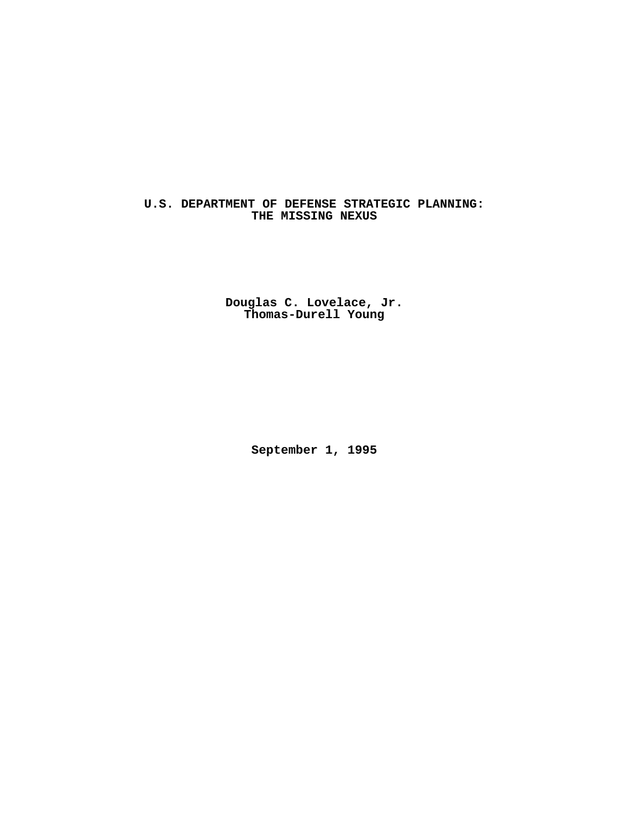# **U.S. DEPARTMENT OF DEFENSE STRATEGIC PLANNING: THE MISSING NEXUS**

**Douglas C. Lovelace, Jr. Thomas-Durell Young** 

**September 1, 1995**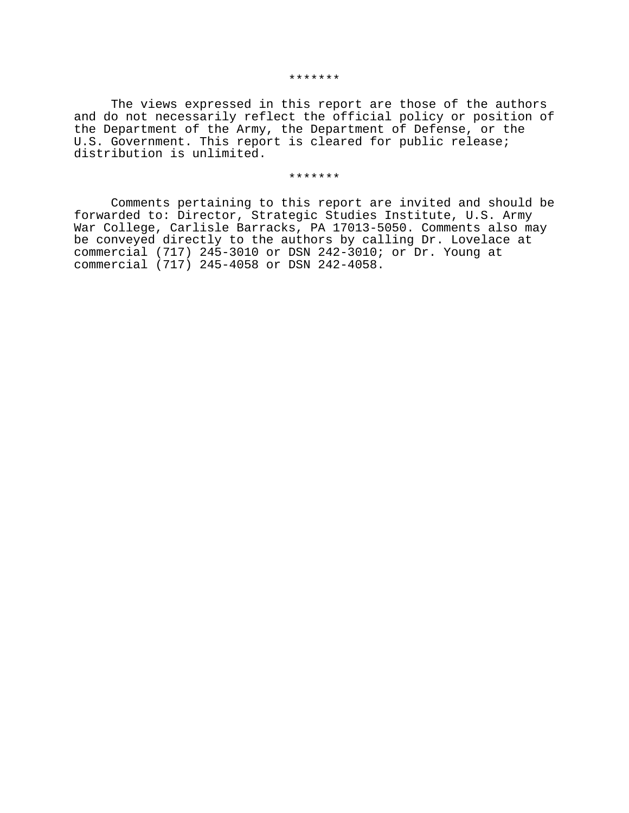#### \*\*\*\*\*\*\*

The views expressed in this report are those of the authors and do not necessarily reflect the official policy or position of the Department of the Army, the Department of Defense, or the U.S. Government. This report is cleared for public release; distribution is unlimited.

#### \*\*\*\*\*\*\*

Comments pertaining to this report are invited and should be forwarded to: Director, Strategic Studies Institute, U.S. Army War College, Carlisle Barracks, PA 17013-5050. Comments also may be conveyed directly to the authors by calling Dr. Lovelace at commercial (717) 245-3010 or DSN 242-3010; or Dr. Young at commercial (717) 245-4058 or DSN 242-4058.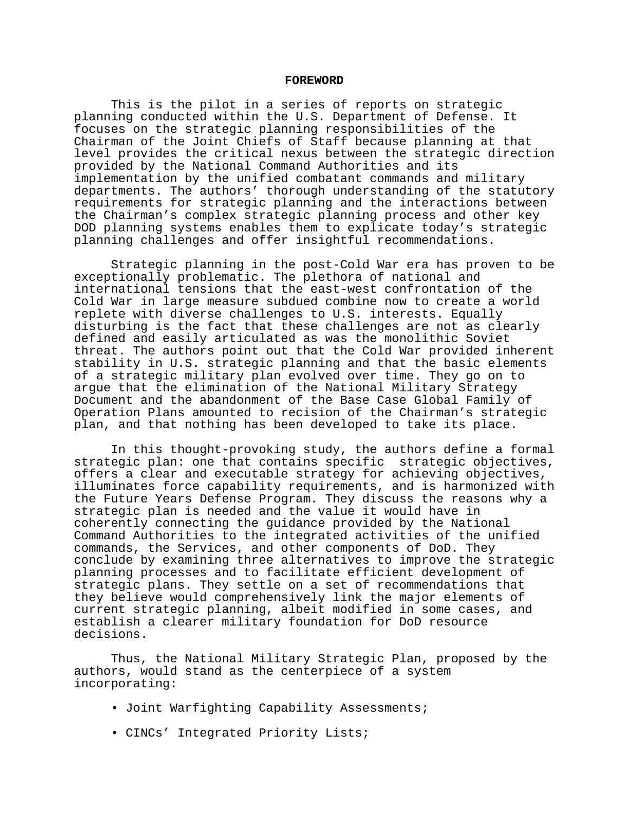# **FOREWORD**

This is the pilot in a series of reports on strategic planning conducted within the U.S. Department of Defense. It focuses on the strategic planning responsibilities of the Chairman of the Joint Chiefs of Staff because planning at that level provides the critical nexus between the strategic direction provided by the National Command Authorities and its implementation by the unified combatant commands and military departments. The authors' thorough understanding of the statutory requirements for strategic planning and the interactions between the Chairman's complex strategic planning process and other key DOD planning systems enables them to explicate today's strategic planning challenges and offer insightful recommendations.

Strategic planning in the post-Cold War era has proven to be exceptionally problematic. The plethora of national and international tensions that the east-west confrontation of the Cold War in large measure subdued combine now to create a world replete with diverse challenges to U.S. interests. Equally disturbing is the fact that these challenges are not as clearly defined and easily articulated as was the monolithic Soviet threat. The authors point out that the Cold War provided inherent stability in U.S. strategic planning and that the basic elements of a strategic military plan evolved over time. They go on to argue that the elimination of the National Military Strategy Document and the abandonment of the Base Case Global Family of Operation Plans amounted to recision of the Chairman's strategic plan, and that nothing has been developed to take its place.

In this thought-provoking study, the authors define a formal strategic plan: one that contains specific strategic objectives, offers a clear and executable strategy for achieving objectives, illuminates force capability requirements, and is harmonized with the Future Years Defense Program. They discuss the reasons why a strategic plan is needed and the value it would have in coherently connecting the guidance provided by the National Command Authorities to the integrated activities of the unified commands, the Services, and other components of DoD. They conclude by examining three alternatives to improve the strategic planning processes and to facilitate efficient development of strategic plans. They settle on a set of recommendations that they believe would comprehensively link the major elements of current strategic planning, albeit modified in some cases, and establish a clearer military foundation for DoD resource decisions.

Thus, the National Military Strategic Plan, proposed by the authors, would stand as the centerpiece of a system incorporating:

- Joint Warfighting Capability Assessments;
- CINCs' Integrated Priority Lists;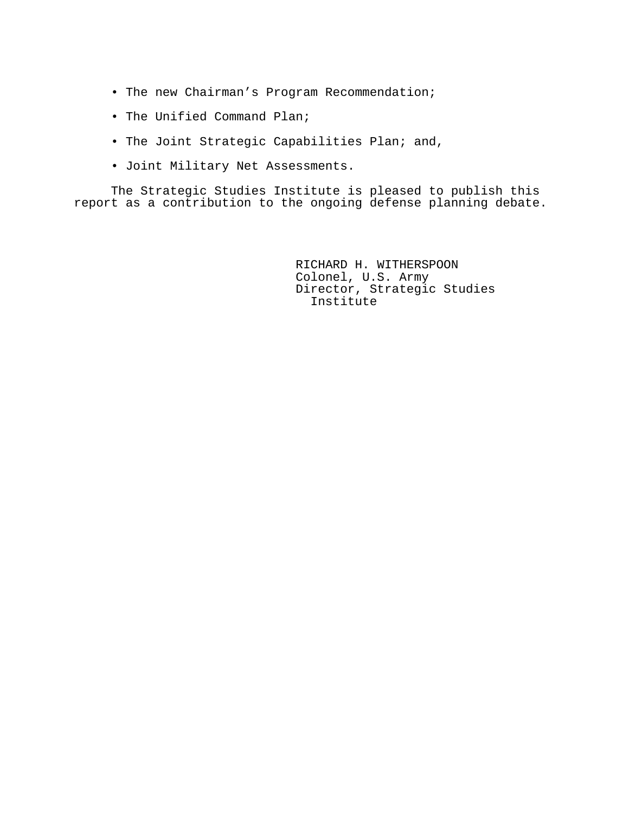- The new Chairman's Program Recommendation;
- The Unified Command Plan;
- The Joint Strategic Capabilities Plan; and,
- Joint Military Net Assessments.

The Strategic Studies Institute is pleased to publish this report as a contribution to the ongoing defense planning debate.

RICHARD H. WITHERSPOON Colonel, U.S. Army Director, Strategic Studies Institute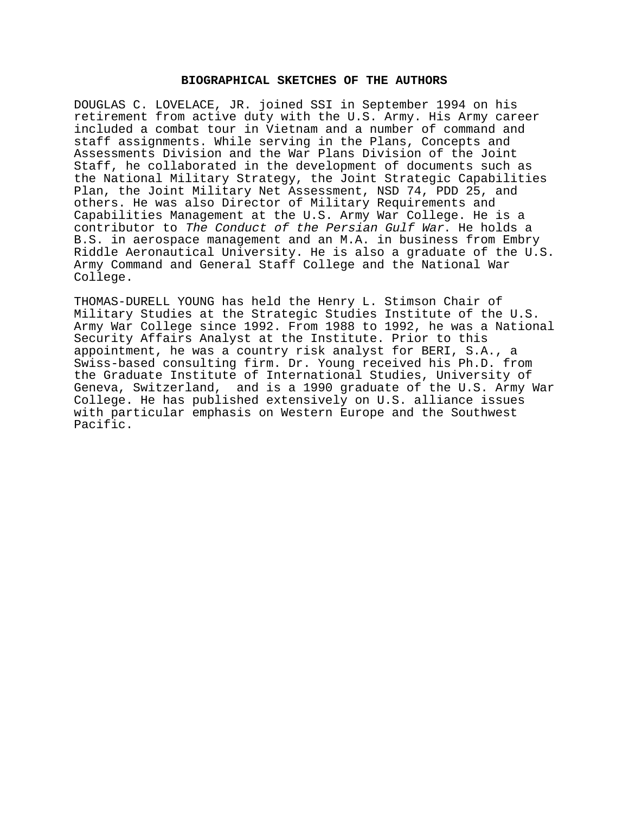#### **BIOGRAPHICAL SKETCHES OF THE AUTHORS**

DOUGLAS C. LOVELACE, JR. joined SSI in September 1994 on his retirement from active duty with the U.S. Army. His Army career included a combat tour in Vietnam and a number of command and staff assignments. While serving in the Plans, Concepts and Assessments Division and the War Plans Division of the Joint Staff, he collaborated in the development of documents such as the National Military Strategy, the Joint Strategic Capabilities Plan, the Joint Military Net Assessment, NSD 74, PDD 25, and others. He was also Director of Military Requirements and Capabilities Management at the U.S. Army War College. He is a contributor to The Conduct of the Persian Gulf War. He holds a B.S. in aerospace management and an M.A. in business from Embry Riddle Aeronautical University. He is also a graduate of the U.S. Army Command and General Staff College and the National War College.

THOMAS-DURELL YOUNG has held the Henry L. Stimson Chair of Military Studies at the Strategic Studies Institute of the U.S. Army War College since 1992. From 1988 to 1992, he was a National Security Affairs Analyst at the Institute. Prior to this appointment, he was a country risk analyst for BERI, S.A., a Swiss-based consulting firm. Dr. Young received his Ph.D. from the Graduate Institute of International Studies, University of Geneva, Switzerland, and is a 1990 graduate of the U.S. Army War College. He has published extensively on U.S. alliance issues with particular emphasis on Western Europe and the Southwest Pacific.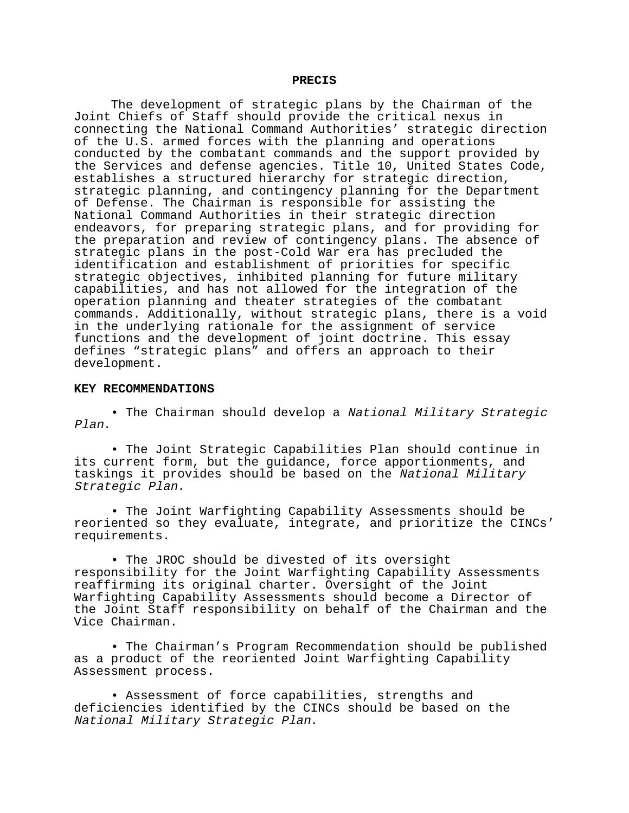# **PRECIS**

The development of strategic plans by the Chairman of the Joint Chiefs of Staff should provide the critical nexus in connecting the National Command Authorities' strategic direction of the U.S. armed forces with the planning and operations conducted by the combatant commands and the support provided by the Services and defense agencies. Title 10, United States Code, establishes a structured hierarchy for strategic direction, strategic planning, and contingency planning for the Department of Defense. The Chairman is responsible for assisting the National Command Authorities in their strategic direction endeavors, for preparing strategic plans, and for providing for the preparation and review of contingency plans. The absence of strategic plans in the post-Cold War era has precluded the identification and establishment of priorities for specific strategic objectives, inhibited planning for future military capabilities, and has not allowed for the integration of the operation planning and theater strategies of the combatant commands. Additionally, without strategic plans, there is a void in the underlying rationale for the assignment of service functions and the development of joint doctrine. This essay defines "strategic plans" and offers an approach to their development.

# **KEY RECOMMENDATIONS**

• The Chairman should develop a National Military Strategic Plan.

• The Joint Strategic Capabilities Plan should continue in its current form, but the guidance, force apportionments, and taskings it provides should be based on the National Military Strategic Plan.

• The Joint Warfighting Capability Assessments should be reoriented so they evaluate, integrate, and prioritize the CINCs' requirements.

• The JROC should be divested of its oversight responsibility for the Joint Warfighting Capability Assessments reaffirming its original charter. Oversight of the Joint Warfighting Capability Assessments should become a Director of the Joint Staff responsibility on behalf of the Chairman and the Vice Chairman.

• The Chairman's Program Recommendation should be published as a product of the reoriented Joint Warfighting Capability Assessment process.

• Assessment of force capabilities, strengths and deficiencies identified by the CINCs should be based on the National Military Strategic Plan.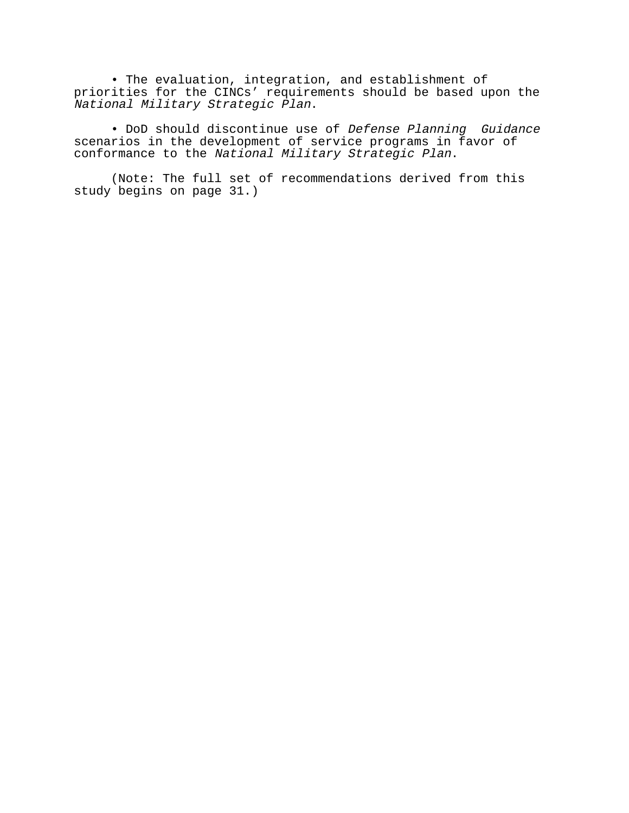• The evaluation, integration, and establishment of priorities for the CINCs' requirements should be based upon the National Military Strategic Plan.

• DoD should discontinue use of Defense Planning Guidance scenarios in the development of service programs in favor of conformance to the National Military Strategic Plan.

(Note: The full set of recommendations derived from this study begins on page 31.)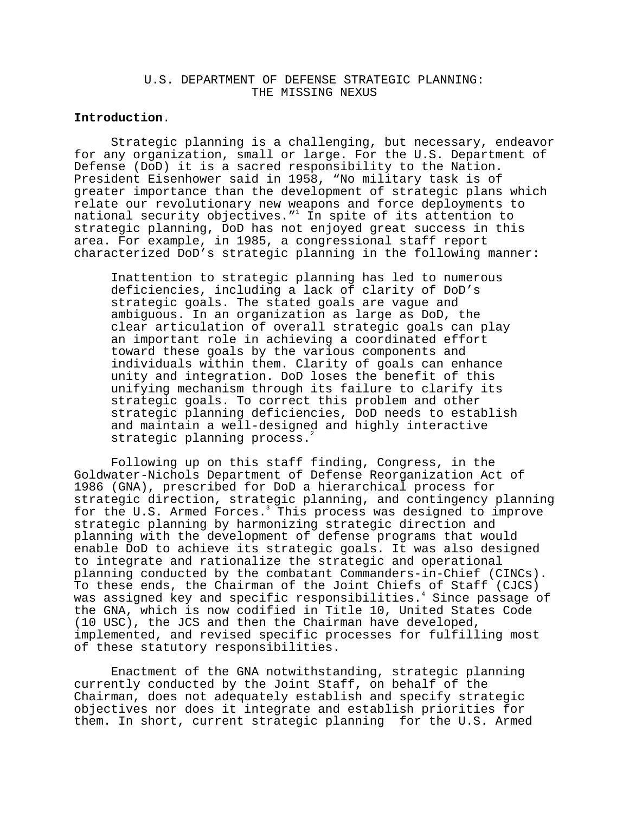# U.S. DEPARTMENT OF DEFENSE STRATEGIC PLANNING: THE MISSING NEXUS

### **Introduction**.

Strategic planning is a challenging, but necessary, endeavor for any organization, small or large. For the U.S. Department of Defense (DoD) it is a sacred responsibility to the Nation. President Eisenhower said in 1958, "No military task is of greater importance than the development of strategic plans which relate our revolutionary new weapons and force deployments to national security objectives."<sup>1</sup> In spite of its attention to strategic planning, DoD has not enjoyed great success in this area. For example, in 1985, a congressional staff report characterized DoD's strategic planning in the following manner:

Inattention to strategic planning has led to numerous deficiencies, including a lack of clarity of DoD's strategic goals. The stated goals are vague and ambiguous. In an organization as large as DoD, the clear articulation of overall strategic goals can play an important role in achieving a coordinated effort toward these goals by the various components and individuals within them. Clarity of goals can enhance unity and integration. DoD loses the benefit of this unifying mechanism through its failure to clarify its strategic goals. To correct this problem and other strategic planning deficiencies, DoD needs to establish and maintain a well-designed and highly interactive strategic planning process.

Following up on this staff finding, Congress, in the Goldwater-Nichols Department of Defense Reorganization Act of 1986 (GNA), prescribed for DoD a hierarchical process for strategic direction, strategic planning, and contingency planning for the U.S. Armed Forces.<sup>3</sup> This process was designed to improve strategic planning by harmonizing strategic direction and planning with the development of defense programs that would enable DoD to achieve its strategic goals. It was also designed to integrate and rationalize the strategic and operational planning conducted by the combatant Commanders-in-Chief (CINCs). To these ends, the Chairman of the Joint Chiefs of Staff (CJCS) was assigned key and specific responsibilities. $^{\rm 4}$  Since passage of the GNA, which is now codified in Title 10, United States Code (10 USC), the JCS and then the Chairman have developed, implemented, and revised specific processes for fulfilling most of these statutory responsibilities.

Enactment of the GNA notwithstanding, strategic planning currently conducted by the Joint Staff, on behalf of the Chairman, does not adequately establish and specify strategic objectives nor does it integrate and establish priorities for them. In short, current strategic planning for the U.S. Armed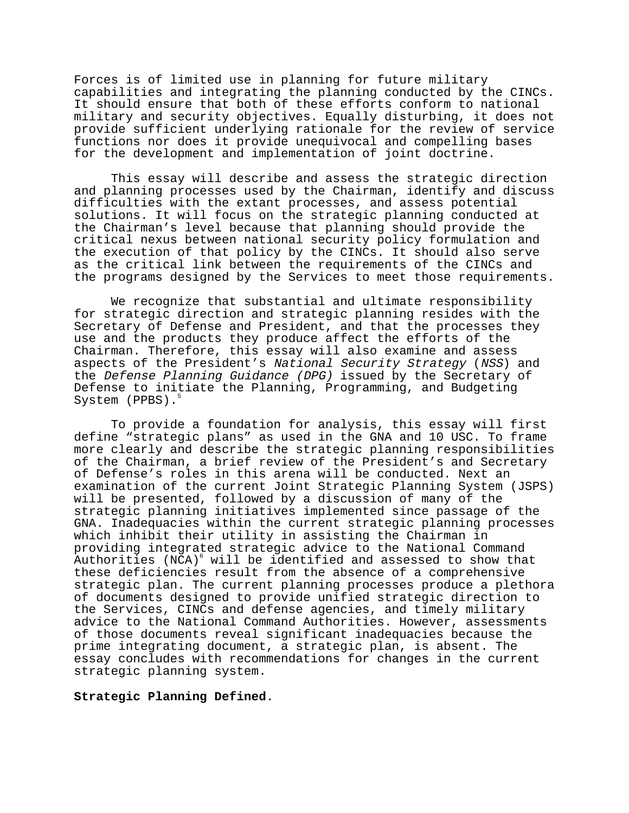Forces is of limited use in planning for future military capabilities and integrating the planning conducted by the CINCs. It should ensure that both of these efforts conform to national military and security objectives. Equally disturbing, it does not provide sufficient underlying rationale for the review of service functions nor does it provide unequivocal and compelling bases for the development and implementation of joint doctrine.

This essay will describe and assess the strategic direction and planning processes used by the Chairman, identify and discuss difficulties with the extant processes, and assess potential solutions. It will focus on the strategic planning conducted at the Chairman's level because that planning should provide the critical nexus between national security policy formulation and the execution of that policy by the CINCs. It should also serve as the critical link between the requirements of the CINCs and the programs designed by the Services to meet those requirements.

We recognize that substantial and ultimate responsibility for strategic direction and strategic planning resides with the Secretary of Defense and President, and that the processes they use and the products they produce affect the efforts of the Chairman. Therefore, this essay will also examine and assess aspects of the President's National Security Strategy (NSS) and the Defense Planning Guidance (DPG) issued by the Secretary of Defense to initiate the Planning, Programming, and Budgeting System (PPBS).

To provide a foundation for analysis, this essay will first define "strategic plans" as used in the GNA and 10 USC. To frame more clearly and describe the strategic planning responsibilities of the Chairman, a brief review of the President's and Secretary of Defense's roles in this arena will be conducted. Next an examination of the current Joint Strategic Planning System (JSPS) will be presented, followed by a discussion of many of the strategic planning initiatives implemented since passage of the GNA. Inadequacies within the current strategic planning processes which inhibit their utility in assisting the Chairman in providing integrated strategic advice to the National Command Authorities (NCA)<sup>6</sup> will be identified and assessed to show that these deficiencies result from the absence of a comprehensive strategic plan. The current planning processes produce a plethora of documents designed to provide unified strategic direction to the Services, CINCs and defense agencies, and timely military advice to the National Command Authorities. However, assessments of those documents reveal significant inadequacies because the prime integrating document, a strategic plan, is absent. The essay concludes with recommendations for changes in the current strategic planning system.

### **Strategic Planning Defined**.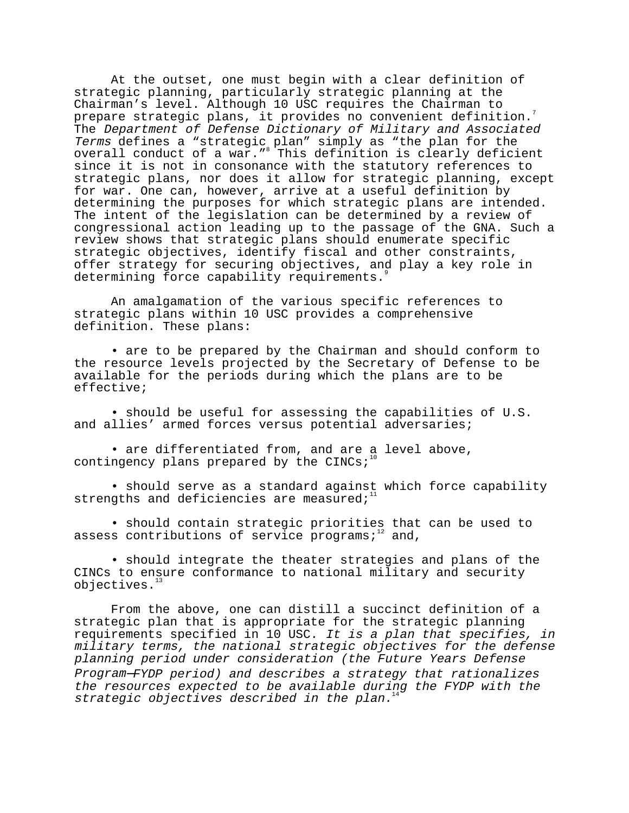At the outset, one must begin with a clear definition of strategic planning, particularly strategic planning at the Chairman's level. Although 10 USC requires the Chairman to prepare strategic plans, it provides no convenient definition. $^7$ The Department of Defense Dictionary of Military and Associated Terms defines a "strategic plan" simply as "the plan for the overall conduct of a war."<sup>8</sup> This definition is clearly deficient since it is not in consonance with the statutory references to strategic plans, nor does it allow for strategic planning, except for war. One can, however, arrive at a useful definition by determining the purposes for which strategic plans are intended. The intent of the legislation can be determined by a review of congressional action leading up to the passage of the GNA. Such a review shows that strategic plans should enumerate specific strategic objectives, identify fiscal and other constraints, offer strategy for securing objectives, and play a key role in determining force capability requirements.<sup>9</sup>

An amalgamation of the various specific references to strategic plans within 10 USC provides a comprehensive definition. These plans:

• are to be prepared by the Chairman and should conform to the resource levels projected by the Secretary of Defense to be available for the periods during which the plans are to be effective;

• should be useful for assessing the capabilities of U.S. and allies' armed forces versus potential adversaries;

• are differentiated from, and are a level above, contingency plans prepared by the CINCs;

• should serve as a standard against which force capability strengths and deficiencies are measured; $11$ 

• should contain strategic priorities that can be used to assess contributions of service programs;<sup>12</sup> and,

• should integrate the theater strategies and plans of the CINCs to ensure conformance to national military and security objectives.<sup>13</sup>

From the above, one can distill a succinct definition of a strategic plan that is appropriate for the strategic planning requirements specified in 10 USC. It is a plan that specifies, in military terms, the national strategic objectives for the defense planning period under consideration (the Future Years Defense Program−FYDP period) and describes a strategy that rationalizes the resources expected to be available during the FYDP with the strategic objectives described in the plan.<sup>14</sup>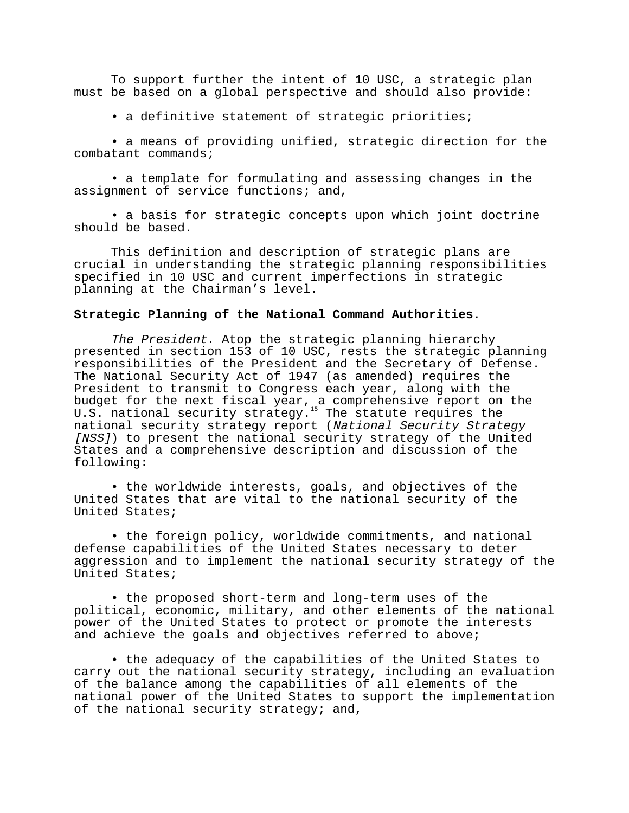To support further the intent of 10 USC, a strategic plan must be based on a global perspective and should also provide:

• a definitive statement of strategic priorities;

• a means of providing unified, strategic direction for the combatant commands;

• a template for formulating and assessing changes in the assignment of service functions; and,

• a basis for strategic concepts upon which joint doctrine should be based.

This definition and description of strategic plans are crucial in understanding the strategic planning responsibilities specified in 10 USC and current imperfections in strategic planning at the Chairman's level.

### **Strategic Planning of the National Command Authorities**.

The President. Atop the strategic planning hierarchy presented in section 153 of 10 USC, rests the strategic planning responsibilities of the President and the Secretary of Defense. The National Security Act of 1947 (as amended) requires the President to transmit to Congress each year, along with the budget for the next fiscal year, a comprehensive report on the<br>U.S. national security strategy." The statute requires the national security strategy report (National Security Strategy [NSS]) to present the national security strategy of the United States and a comprehensive description and discussion of the following:

• the worldwide interests, goals, and objectives of the United States that are vital to the national security of the United States;

• the foreign policy, worldwide commitments, and national defense capabilities of the United States necessary to deter aggression and to implement the national security strategy of the United States;

• the proposed short-term and long-term uses of the political, economic, military, and other elements of the national power of the United States to protect or promote the interests and achieve the goals and objectives referred to above;

• the adequacy of the capabilities of the United States to carry out the national security strategy, including an evaluation of the balance among the capabilities of all elements of the national power of the United States to support the implementation of the national security strategy; and,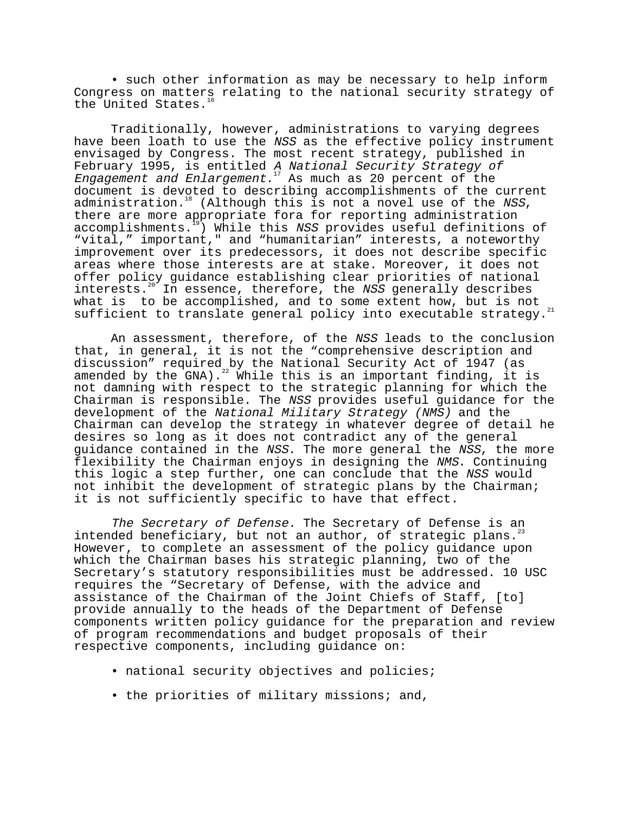• such other information as may be necessary to help inform Congress on matters relating to the national security strategy of the United States.

Traditionally, however, administrations to varying degrees have been loath to use the NSS as the effective policy instrument envisaged by Congress. The most recent strategy, published in February 1995, is entitled A *National Security Strategy of*<br>*Engagement and Enlargement*." As much as 20 percent of the document is devoted to describing accomplishments of the current administration.<sup>18</sup> (Although this is not a novel use of the NSS, there are more appropriate fora for reporting administration accomplishments.<sup>19</sup>) While this NSS provides useful definitions of "vital," important," and "humanitarian" interests, a noteworthy improvement over its predecessors, it does not describe specific areas where those interests are at stake. Moreover, it does not offer policy guidance establishing clear priorities of national interests.<sup>20</sup> In essence, therefore, the  $NSS$  generally describes what is to be accomplished, and to some extent how, but is not  $s$ ufficient to translate general policy into executable strategy.<sup>21</sup>

An assessment, therefore, of the NSS leads to the conclusion that, in general, it is not the "comprehensive description and discussion" required by the National Security Act of 1947 (as amended by the  $GNA$ ).<sup>22</sup> While this is an important finding, it is not damning with respect to the strategic planning for which the Chairman is responsible. The NSS provides useful guidance for the development of the National Military Strategy (NMS) and the Chairman can develop the strategy in whatever degree of detail he desires so long as it does not contradict any of the general guidance contained in the NSS. The more general the NSS, the more flexibility the Chairman enjoys in designing the NMS. Continuing this logic a step further, one can conclude that the NSS would not inhibit the development of strategic plans by the Chairman; it is not sufficiently specific to have that effect.

The Secretary of Defense. The Secretary of Defense is an intended beneficiary, but not an author, of strategic plans.<sup>23</sup> However, to complete an assessment of the policy guidance upon which the Chairman bases his strategic planning, two of the Secretary's statutory responsibilities must be addressed. 10 USC requires the "Secretary of Defense, with the advice and assistance of the Chairman of the Joint Chiefs of Staff, [to] provide annually to the heads of the Department of Defense components written policy guidance for the preparation and review of program recommendations and budget proposals of their respective components, including guidance on:

- national security objectives and policies;
- the priorities of military missions; and,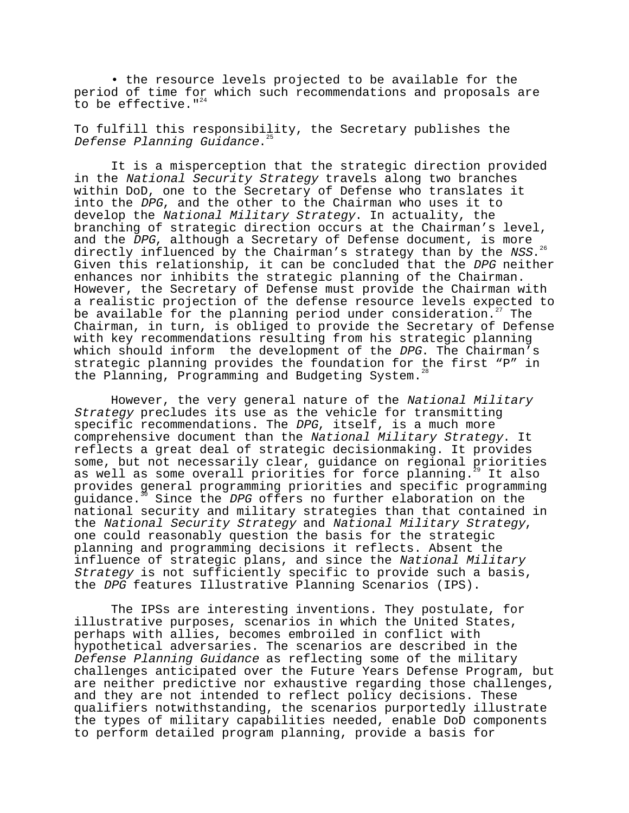• the resource levels projected to be available for the period of time for which such recommendations and proposals are<br>to be effective."<sup>24</sup>

To fulfill this responsibility, the Secretary publishes the Defense Planning Guidance.<sup>2</sup>

It is a misperception that the strategic direction provided in the National Security Strategy travels along two branches within DoD, one to the Secretary of Defense who translates it into the DPG, and the other to the Chairman who uses it to develop the National Military Strategy. In actuality, the branching of strategic direction occurs at the Chairman's level, and the DPG, although a Secretary of Defense document, is more directly influenced by the Chairman's strategy than by the NSS.<sup>26</sup> Given this relationship, it can be concluded that the DPG neither enhances nor inhibits the strategic planning of the Chairman. However, the Secretary of Defense must provide the Chairman with a realistic projection of the defense resource levels expected to be available for the planning period under consideration. $27$  The Chairman, in turn, is obliged to provide the Secretary of Defense with key recommendations resulting from his strategic planning which should inform the development of the DPG. The Chairman's strategic planning provides the foundation for the first "P" in the Planning, Programming and Budgeting System.<sup>2</sup>

However, the very general nature of the National Military Strategy precludes its use as the vehicle for transmitting specific recommendations. The DPG, itself, is a much more comprehensive document than the National Military Strategy. It reflects a great deal of strategic decisionmaking. It provides some, but not necessarily clear, guidance on regional priorities as well as some overall priorities for force planning.<sup>29</sup> <sup>'</sup> It also provides general programming priorities and specific programming guidance.<sup>30</sup> Since the *DPG* offers no further elaboration on the national security and military strategies than that contained in the National Security Strategy and National Military Strategy, one could reasonably question the basis for the strategic planning and programming decisions it reflects. Absent the influence of strategic plans, and since the National Military Strategy is not sufficiently specific to provide such a basis, the DPG features Illustrative Planning Scenarios (IPS).

The IPSs are interesting inventions. They postulate, for illustrative purposes, scenarios in which the United States, perhaps with allies, becomes embroiled in conflict with hypothetical adversaries. The scenarios are described in the Defense Planning Guidance as reflecting some of the military challenges anticipated over the Future Years Defense Program, but are neither predictive nor exhaustive regarding those challenges, and they are not intended to reflect policy decisions. These qualifiers notwithstanding, the scenarios purportedly illustrate the types of military capabilities needed, enable DoD components to perform detailed program planning, provide a basis for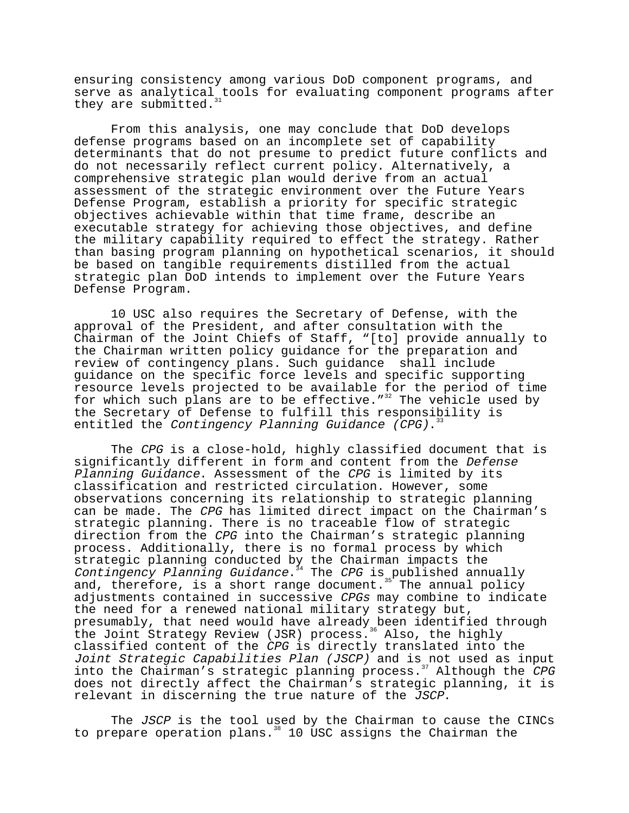ensuring consistency among various DoD component programs, and serve as analytical tools for evaluating component programs after they are submitted.

From this analysis, one may conclude that DoD develops defense programs based on an incomplete set of capability determinants that do not presume to predict future conflicts and do not necessarily reflect current policy. Alternatively, a comprehensive strategic plan would derive from an actual assessment of the strategic environment over the Future Years Defense Program, establish a priority for specific strategic objectives achievable within that time frame, describe an executable strategy for achieving those objectives, and define the military capability required to effect the strategy. Rather than basing program planning on hypothetical scenarios, it should be based on tangible requirements distilled from the actual strategic plan DoD intends to implement over the Future Years Defense Program.

10 USC also requires the Secretary of Defense, with the approval of the President, and after consultation with the Chairman of the Joint Chiefs of Staff, "[to] provide annually to the Chairman written policy guidance for the preparation and review of contingency plans. Such guidance shall include guidance on the specific force levels and specific supporting resource levels projected to be available for the period of time for which such plans are to be effective."<sup>32</sup> The vehicle used by the Secretary of Defense to fulfill this responsibility is entitled the Contingency Planning Guidance (CPG).<sup>3</sup>

The *CPG* is a close-hold, highly classified document that is significantly different in form and content from the Defense Planning Guidance. Assessment of the CPG is limited by its classification and restricted circulation. However, some observations concerning its relationship to strategic planning can be made. The CPG has limited direct impact on the Chairman's strategic planning. There is no traceable flow of strategic direction from the CPG into the Chairman's strategic planning process. Additionally, there is no formal process by which strategic planning conducted by the Chairman impacts the Contingency Planning Guidance.<sup>34</sup> The CPG is published annually<br>and, therefore, is a short range document.<sup>35</sup> The annual policy adjustments contained in successive CPGs may combine to indicate the need for a renewed national military strategy but, presumably, that need would have already been identified through<br>the Joint Strategy Review (JSR) process." Also, the highly classified content of the CPG is directly translated into the Joint Strategic Capabilities Plan (JSCP) and is not used as input into the Chairman's strategic planning process.<sup>37</sup> Although the CPG does not directly affect the Chairman's strategic planning, it is relevant in discerning the true nature of the JSCP.

The JSCP is the tool used by the Chairman to cause the CINCs to prepare operation plans.<sup>38</sup> 10 USC assigns the Chairman the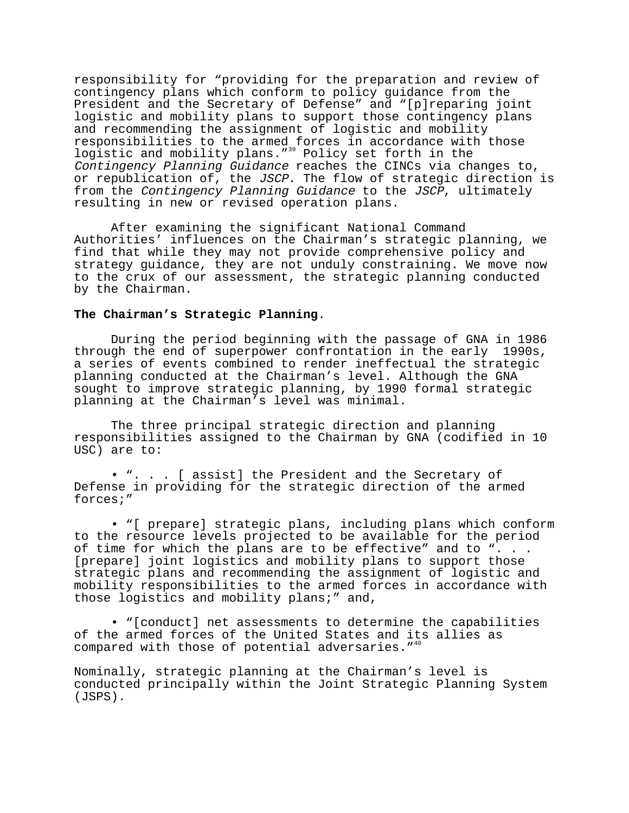responsibility for "providing for the preparation and review of contingency plans which conform to policy guidance from the President and the Secretary of Defense" and "[p]reparing joint logistic and mobility plans to support those contingency plans and recommending the assignment of logistic and mobility responsibilities to the armed forces in accordance with those logistic and mobility plans."<sup>39</sup> Policy set forth in the Contingency Planning Guidance reaches the CINCs via changes to, or republication of, the JSCP. The flow of strategic direction is from the Contingency Planning Guidance to the JSCP, ultimately resulting in new or revised operation plans.

After examining the significant National Command Authorities' influences on the Chairman's strategic planning, we find that while they may not provide comprehensive policy and strategy guidance, they are not unduly constraining. We move now to the crux of our assessment, the strategic planning conducted by the Chairman.

### **The Chairman's Strategic Planning**.

During the period beginning with the passage of GNA in 1986 through the end of superpower confrontation in the early 1990s, a series of events combined to render ineffectual the strategic planning conducted at the Chairman's level. Although the GNA sought to improve strategic planning, by 1990 formal strategic planning at the Chairman's level was minimal.

The three principal strategic direction and planning responsibilities assigned to the Chairman by GNA (codified in 10 USC) are to:

• ". . . [ assist] the President and the Secretary of Defense in providing for the strategic direction of the armed forces;"

• "[ prepare] strategic plans, including plans which conform to the resource levels projected to be available for the period of time for which the plans are to be effective" and to ". . . [prepare] joint logistics and mobility plans to support those strategic plans and recommending the assignment of logistic and mobility responsibilities to the armed forces in accordance with those logistics and mobility plans;" and,

• "[conduct] net assessments to determine the capabilities of the armed forces of the United States and its allies as compared with those of potential adversaries. $1^{40}$ 

Nominally, strategic planning at the Chairman's level is conducted principally within the Joint Strategic Planning System (JSPS).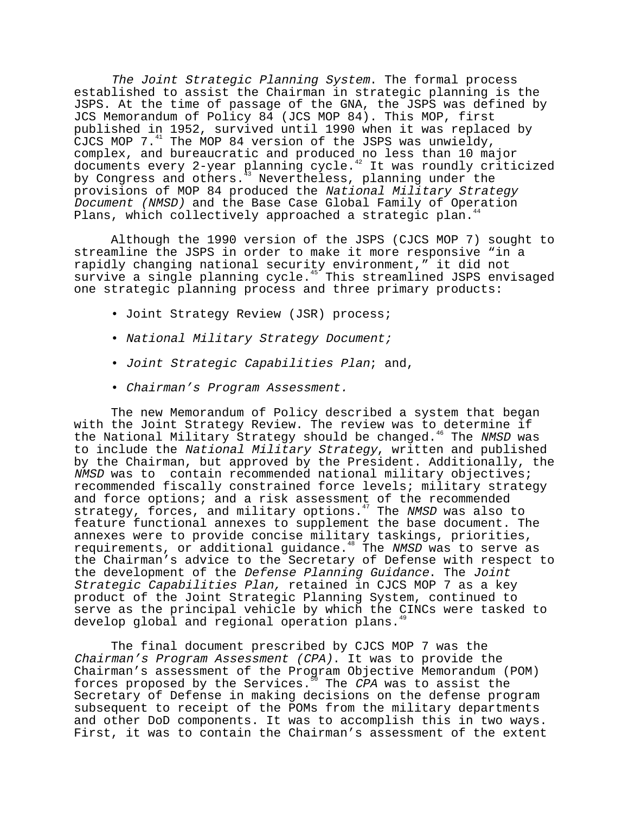The Joint Strategic Planning System. The formal process established to assist the Chairman in strategic planning is the JSPS. At the time of passage of the GNA, the JSPS was defined by JCS Memorandum of Policy 84 (JCS MOP 84). This MOP, first published in 1952, survived until 1990 when it was replaced by CJCS MOP  $7.^{41}$  The MOP 84 version of the JSPS was unwieldy, complex, and bureaucratic and produced no less than 10 major documents every 2-year planning cycle.42 It was roundly criticized by Congress and others.43 Nevertheless, planning under the provisions of MOP 84 produced the National Military Strategy Document (NMSD) and the Base Case Global Family of Operation Plans, which collectively approached a strategic plan.<sup>4</sup>

Although the 1990 version of the JSPS (CJCS MOP 7) sought to streamline the JSPS in order to make it more responsive "in a rapidly changing national security environment," it did not survive a single planning cycle.45 This streamlined JSPS envisaged one strategic planning process and three primary products:

- Joint Strategy Review (JSR) process;
- National Military Strategy Document;
- Joint Strategic Capabilities Plan; and,
- Chairman's Program Assessment.

The new Memorandum of Policy described a system that began with the Joint Strategy Review. The review was to determine if the National Military Strategy should be changed.<sup>46</sup> The NMSD was to include the National Military Strategy, written and published by the Chairman, but approved by the President. Additionally, the NMSD was to contain recommended national military objectives; recommended fiscally constrained force levels; military strategy and force options; and a risk assessment of the recommended strategy, forces, and military options.<sup>47</sup> The *NMSD* was also to feature functional annexes to supplement the base document. The annexes were to provide concise military taskings, priorities, requirements, or additional guidance.48 The NMSD was to serve as the Chairman's advice to the Secretary of Defense with respect to the development of the Defense Planning Guidance. The Joint Strategic Capabilities Plan, retained in CJCS MOP 7 as a key product of the Joint Strategic Planning System, continued to serve as the principal vehicle by which the CINCs were tasked to develop global and regional operation plans.<sup>4</sup>

The final document prescribed by CJCS MOP 7 was the Chairman's Program Assessment (CPA). It was to provide the Chairman's assessment of the Program Objective Memorandum (POM) forces proposed by the Services.<sup>50</sup> The CPA was to assist the Secretary of Defense in making decisions on the defense program subsequent to receipt of the POMs from the military departments and other DoD components. It was to accomplish this in two ways. First, it was to contain the Chairman's assessment of the extent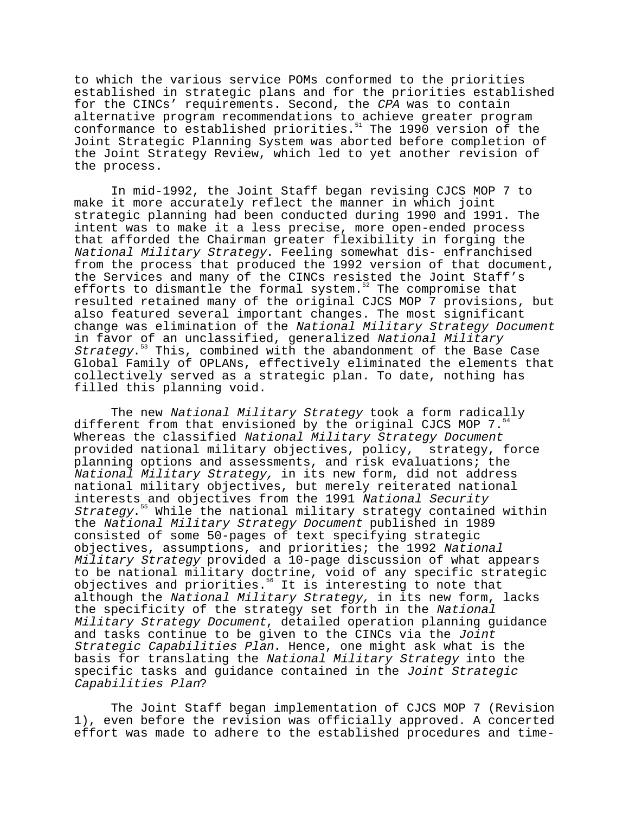to which the various service POMs conformed to the priorities established in strategic plans and for the priorities established for the CINCs' requirements. Second, the CPA was to contain alternative program recommendations to achieve greater program conformance to established priorities.<sup>51</sup> The 1990 version of the Joint Strategic Planning System was aborted before completion of the Joint Strategy Review, which led to yet another revision of the process.

In mid-1992, the Joint Staff began revising CJCS MOP 7 to make it more accurately reflect the manner in which joint strategic planning had been conducted during 1990 and 1991. The intent was to make it a less precise, more open-ended process that afforded the Chairman greater flexibility in forging the National Military Strategy. Feeling somewhat dis- enfranchised from the process that produced the 1992 version of that document, the Services and many of the CINCs resisted the Joint Staff's efforts to dismantle the formal system.<sup>52</sup> The compromise that resulted retained many of the original CJCS MOP 7 provisions, but also featured several important changes. The most significant change was elimination of the National Military Strategy Document in favor of an unclassified, generalized National Military  $Strategy.$ <sup>53</sup> This, combined with the abandonment of the Base Case Global Family of OPLANs, effectively eliminated the elements that collectively served as a strategic plan. To date, nothing has filled this planning void.

The new *National Military Strategy* took a form radically different from that envisioned by the original CJCS MOP  $7.^54$ Whereas the classified National Military Strategy Document provided national military objectives, policy, strategy, force planning options and assessments, and risk evaluations; the National Military Strategy, in its new form, did not address national military objectives, but merely reiterated national interests and objectives from the 1991 National Security Strategy.<sup>55</sup> While the national military strategy contained within the National Military Strategy Document published in 1989 consisted of some 50-pages of text specifying strategic objectives, assumptions, and priorities; the 1992 National Military Strategy provided a 10-page discussion of what appears to be national military doctrine, void of any specific strategic objectives and priorities.<sup>56</sup> It is interesting to note that although the National Military Strategy, in its new form, lacks the specificity of the strategy set forth in the National Military Strategy Document, detailed operation planning guidance and tasks continue to be given to the CINCs via the Joint Strategic Capabilities Plan. Hence, one might ask what is the basis for translating the National Military Strategy into the specific tasks and guidance contained in the Joint Strategic Capabilities Plan?

The Joint Staff began implementation of CJCS MOP 7 (Revision 1), even before the revision was officially approved. A concerted effort was made to adhere to the established procedures and time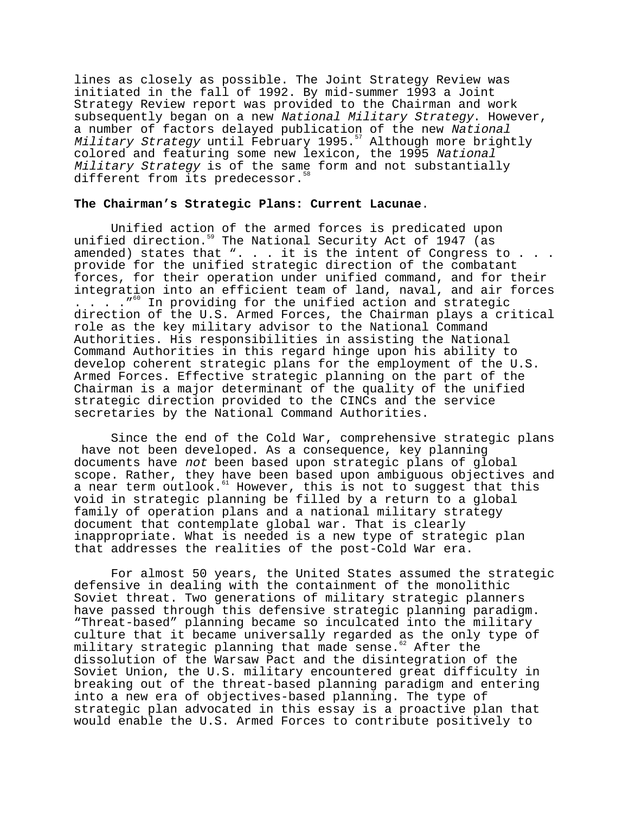lines as closely as possible. The Joint Strategy Review was initiated in the fall of 1992. By mid-summer 1993 a Joint Strategy Review report was provided to the Chairman and work subsequently began on a new National Military Strategy. However, a number of factors delayed publication of the new National Military Strategy until February 1995.<sup>57</sup> Although more brightly colored and featuring some new lexicon, the 1995 National Military Strategy is of the same form and not substantially different from its predecessor.<sup>5</sup>

# **The Chairman's Strategic Plans: Current Lacunae**.

Unified action of the armed forces is predicated upon unified direction.59 The National Security Act of 1947 (as amended) states that ". . . it is the intent of Congress to . . . provide for the unified strategic direction of the combatant forces, for their operation under unified command, and for their integration into an efficient team of land, naval, and air forces . . . . "<sup>60</sup> In providing for the unified action and strategic direction of the U.S. Armed Forces, the Chairman plays a critical role as the key military advisor to the National Command Authorities. His responsibilities in assisting the National Command Authorities in this regard hinge upon his ability to develop coherent strategic plans for the employment of the U.S. Armed Forces. Effective strategic planning on the part of the Chairman is a major determinant of the quality of the unified strategic direction provided to the CINCs and the service secretaries by the National Command Authorities.

Since the end of the Cold War, comprehensive strategic plans have not been developed. As a consequence, key planning documents have not been based upon strategic plans of global scope. Rather, they have been based upon ambiguous objectives and a near term outlook.<sup>61</sup> However, this is not to suggest that this void in strategic planning be filled by a return to a global family of operation plans and a national military strategy document that contemplate global war. That is clearly inappropriate. What is needed is a new type of strategic plan that addresses the realities of the post-Cold War era.

For almost 50 years, the United States assumed the strategic defensive in dealing with the containment of the monolithic Soviet threat. Two generations of military strategic planners have passed through this defensive strategic planning paradigm. "Threat-based" planning became so inculcated into the military culture that it became universally regarded as the only type of military strategic planning that made sense.<sup>62</sup> After the dissolution of the Warsaw Pact and the disintegration of the Soviet Union, the U.S. military encountered great difficulty in breaking out of the threat-based planning paradigm and entering into a new era of objectives-based planning. The type of strategic plan advocated in this essay is a proactive plan that would enable the U.S. Armed Forces to contribute positively to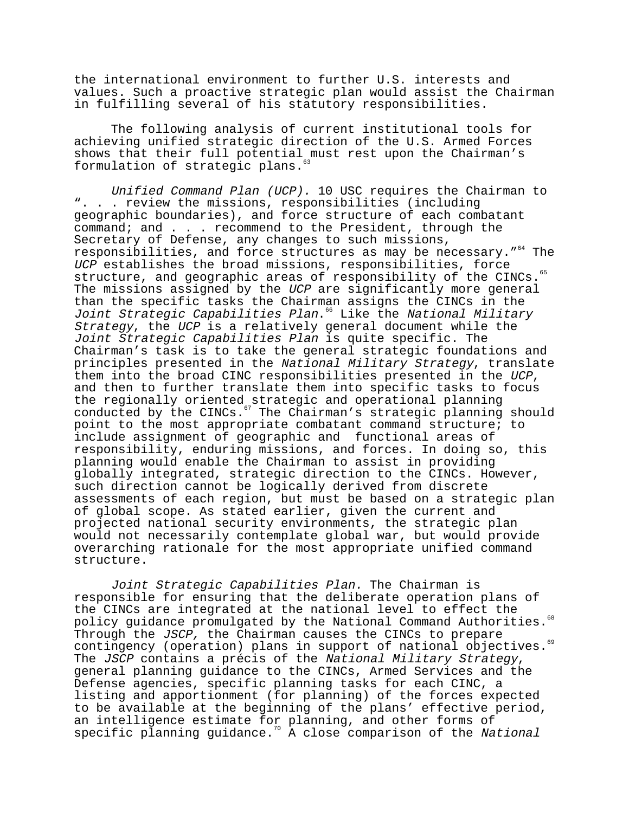the international environment to further U.S. interests and values. Such a proactive strategic plan would assist the Chairman in fulfilling several of his statutory responsibilities.

The following analysis of current institutional tools for achieving unified strategic direction of the U.S. Armed Forces shows that their full potential must rest upon the Chairman's formulation of strategic plans. $^{63}$ 

Unified Command Plan (UCP). 10 USC requires the Chairman to ". . . review the missions, responsibilities (including geographic boundaries), and force structure of each combatant command; and . . . recommend to the President, through the Secretary of Defense, any changes to such missions, responsibilities, and force structures as may be necessary."<sup>64</sup> The UCP establishes the broad missions, responsibilities, force structure, and geographic areas of responsibility of the CINCs.<sup>65</sup> The missions assigned by the UCP are significantly more general than the specific tasks the Chairman assigns the CINCs in the Joint Strategic Capabilities Plan.66 Like the National Military Strategy, the UCP is a relatively general document while the Joint Strategic Capabilities Plan is quite specific. The Chairman's task is to take the general strategic foundations and principles presented in the National Military Strategy, translate them into the broad CINC responsibilities presented in the UCP, and then to further translate them into specific tasks to focus the regionally oriented strategic and operational planning conducted by the CINCs.<sup>67</sup> The Chairman's strategic planning should point to the most appropriate combatant command structure; to include assignment of geographic and functional areas of responsibility, enduring missions, and forces. In doing so, this planning would enable the Chairman to assist in providing globally integrated, strategic direction to the CINCs. However, such direction cannot be logically derived from discrete assessments of each region, but must be based on a strategic plan of global scope. As stated earlier, given the current and projected national security environments, the strategic plan would not necessarily contemplate global war, but would provide overarching rationale for the most appropriate unified command structure.

Joint Strategic Capabilities Plan. The Chairman is responsible for ensuring that the deliberate operation plans of the CINCs are integrated at the national level to effect the policy guidance promulgated by the National Command Authorities.<sup>68</sup> Through the JSCP, the Chairman causes the CINCs to prepare contingency (operation) plans in support of national objectives.<sup>69</sup> The JSCP contains a précis of the National Military Strategy, general planning guidance to the CINCs, Armed Services and the Defense agencies, specific planning tasks for each CINC, a listing and apportionment (for planning) of the forces expected to be available at the beginning of the plans' effective period, an intelligence estimate for planning, and other forms of<br>specific planning guidance." A close comparison of the *National*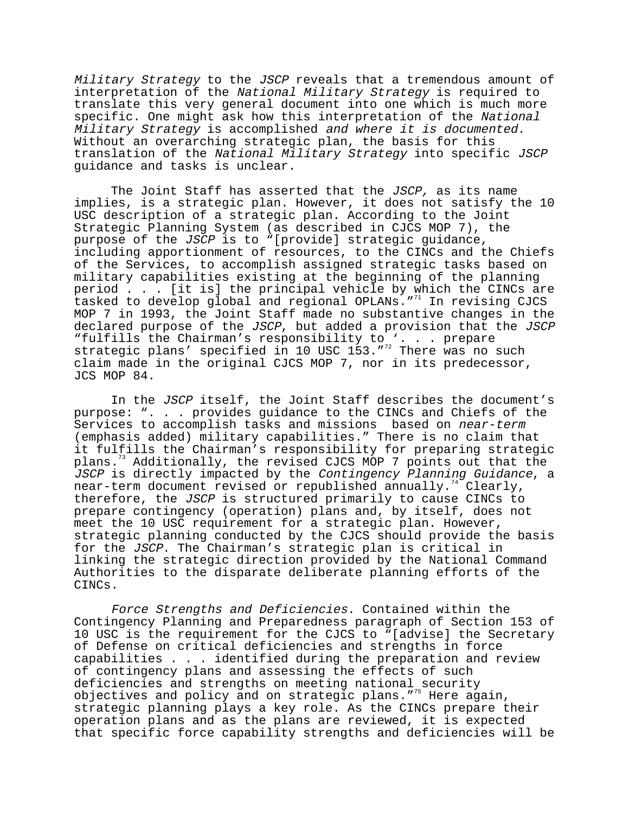Military Strategy to the JSCP reveals that a tremendous amount of interpretation of the National Military Strategy is required to translate this very general document into one which is much more specific. One might ask how this interpretation of the National Military Strategy is accomplished and where it is documented. Without an overarching strategic plan, the basis for this translation of the National Military Strategy into specific JSCP guidance and tasks is unclear.

The Joint Staff has asserted that the JSCP, as its name implies, is a strategic plan. However, it does not satisfy the 10 USC description of a strategic plan. According to the Joint Strategic Planning System (as described in CJCS MOP 7), the purpose of the JSCP is to "[provide] strategic guidance, including apportionment of resources, to the CINCs and the Chiefs of the Services, to accomplish assigned strategic tasks based on military capabilities existing at the beginning of the planning period . . . [it is] the principal vehicle by which the CINCs are tasked to develop global and regional OPLANs."<sup>11</sup> In revising CJCS MOP 7 in 1993, the Joint Staff made no substantive changes in the declared purpose of the JSCP, but added a provision that the JSCP "fulfills the Chairman's responsibility to '. . . prepare strategic plans' specified in 10 USC 153."<sup>72</sup> There was no such claim made in the original CJCS MOP 7, nor in its predecessor, JCS MOP 84.

In the JSCP itself, the Joint Staff describes the document's purpose: ". . . provides guidance to the CINCs and Chiefs of the Services to accomplish tasks and missions based on near-term (emphasis added) military capabilities." There is no claim that it fulfills the Chairman's responsibility for preparing strategic plans.73 Additionally, the revised CJCS MOP 7 points out that the JSCP is directly impacted by the Contingency Planning Guidance, a near-term document revised or republished annually.<sup>74</sup> Clearly, therefore, the JSCP is structured primarily to cause CINCs to prepare contingency (operation) plans and, by itself, does not meet the 10 USC requirement for a strategic plan. However, strategic planning conducted by the CJCS should provide the basis for the JSCP. The Chairman's strategic plan is critical in linking the strategic direction provided by the National Command Authorities to the disparate deliberate planning efforts of the CINCs.

Force Strengths and Deficiencies. Contained within the Contingency Planning and Preparedness paragraph of Section 153 of 10 USC is the requirement for the CJCS to "[advise] the Secretary of Defense on critical deficiencies and strengths in force capabilities . . . identified during the preparation and review of contingency plans and assessing the effects of such deficiencies and strengths on meeting national security objectives and policy and on strategic plans."<sup>75</sup> Here again, strategic planning plays a key role. As the CINCs prepare their operation plans and as the plans are reviewed, it is expected that specific force capability strengths and deficiencies will be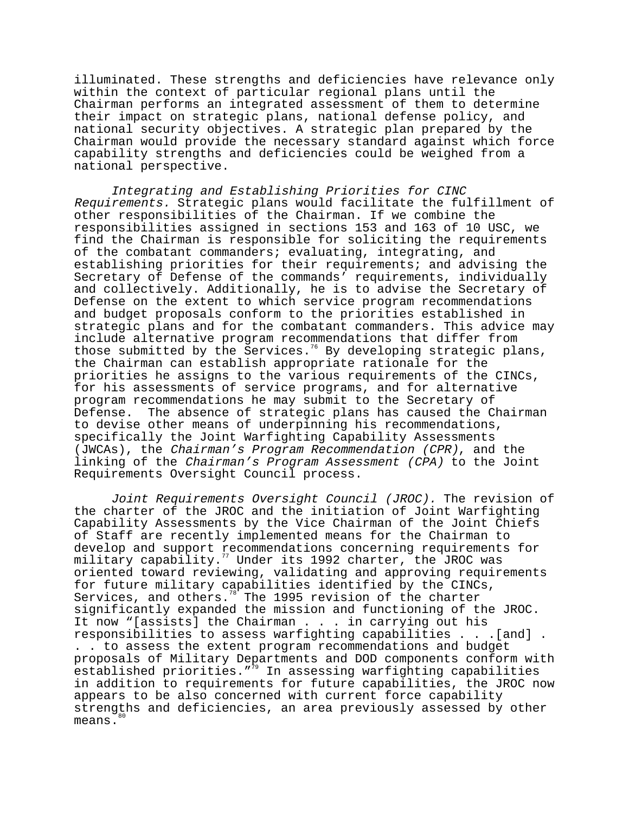illuminated. These strengths and deficiencies have relevance only within the context of particular regional plans until the Chairman performs an integrated assessment of them to determine their impact on strategic plans, national defense policy, and national security objectives. A strategic plan prepared by the Chairman would provide the necessary standard against which force capability strengths and deficiencies could be weighed from a national perspective.

Integrating and Establishing Priorities for CINC Requirements. Strategic plans would facilitate the fulfillment of other responsibilities of the Chairman. If we combine the responsibilities assigned in sections 153 and 163 of 10 USC, we find the Chairman is responsible for soliciting the requirements of the combatant commanders; evaluating, integrating, and establishing priorities for their requirements; and advising the Secretary of Defense of the commands' requirements, individually and collectively. Additionally, he is to advise the Secretary of Defense on the extent to which service program recommendations and budget proposals conform to the priorities established in strategic plans and for the combatant commanders. This advice may include alternative program recommendations that differ from those submitted by the Services.<sup>76</sup> By developing strategic plans, the Chairman can establish appropriate rationale for the priorities he assigns to the various requirements of the CINCs, for his assessments of service programs, and for alternative program recommendations he may submit to the Secretary of Defense. The absence of strategic plans has caused the Chairman to devise other means of underpinning his recommendations, specifically the Joint Warfighting Capability Assessments (JWCAs), the Chairman's Program Recommendation (CPR), and the linking of the Chairman's Program Assessment (CPA) to the Joint Requirements Oversight Council process.

Joint Requirements Oversight Council (JROC). The revision of the charter of the JROC and the initiation of Joint Warfighting Capability Assessments by the Vice Chairman of the Joint Chiefs of Staff are recently implemented means for the Chairman to develop and support recommendations concerning requirements for military capability.77 Under its 1992 charter, the JROC was oriented toward reviewing, validating and approving requirements for future military capabilities identified by the CINCs, Services, and others.<sup>78</sup> The 1995 revision of the charter significantly expanded the mission and functioning of the JROC. It now "[assists] the Chairman . . . in carrying out his responsibilities to assess warfighting capabilities . . .[and] . . . to assess the extent program recommendations and budget proposals of Military Departments and DOD components conform with established priorities."<sup>79</sup> In assessing warfighting capabilities in addition to requirements for future capabilities, the JROC now appears to be also concerned with current force capability strengths and deficiencies, an area previously assessed by other 80 means.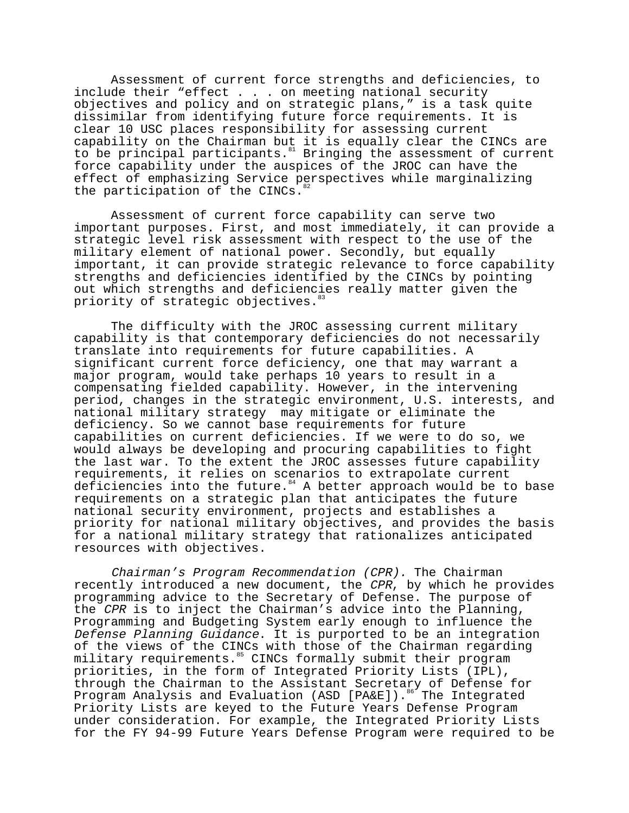Assessment of current force strengths and deficiencies, to include their "effect . . . on meeting national security objectives and policy and on strategic plans," is a task quite dissimilar from identifying future force requirements. It is clear 10 USC places responsibility for assessing current capability on the Chairman but it is equally clear the CINCs are to be principal participants.<sup>81</sup> Bringing the assessment of current force capability under the auspices of the JROC can have the effect of emphasizing Service perspectives while marginalizing the participation of the CINCs.

Assessment of current force capability can serve two important purposes. First, and most immediately, it can provide a strategic level risk assessment with respect to the use of the military element of national power. Secondly, but equally important, it can provide strategic relevance to force capability strengths and deficiencies identified by the CINCs by pointing out which strengths and deficiencies really matter given the priority of strategic objectives.<sup>83</sup>

The difficulty with the JROC assessing current military capability is that contemporary deficiencies do not necessarily translate into requirements for future capabilities. A significant current force deficiency, one that may warrant a major program, would take perhaps 10 years to result in a compensating fielded capability. However, in the intervening period, changes in the strategic environment, U.S. interests, and national military strategy may mitigate or eliminate the deficiency. So we cannot base requirements for future capabilities on current deficiencies. If we were to do so, we would always be developing and procuring capabilities to fight the last war. To the extent the JROC assesses future capability requirements, it relies on scenarios to extrapolate current deficiencies into the future.<sup>84</sup> A better approach would be to base requirements on a strategic plan that anticipates the future national security environment, projects and establishes a priority for national military objectives, and provides the basis for a national military strategy that rationalizes anticipated resources with objectives.

Chairman's Program Recommendation (CPR). The Chairman recently introduced a new document, the CPR, by which he provides programming advice to the Secretary of Defense. The purpose of the CPR is to inject the Chairman's advice into the Planning, Programming and Budgeting System early enough to influence the Defense Planning Guidance. It is purported to be an integration of the views of the CINCs with those of the Chairman regarding military requirements.<sup>85</sup> CINCs formally submit their program priorities, in the form of Integrated Priority Lists (IPL), through the Chairman to the Assistant Secretary of Defense for Program Analysis and Evaluation (ASD [PA&E]).<sup>86</sup> The Integrated Priority Lists are keyed to the Future Years Defense Program under consideration. For example, the Integrated Priority Lists for the FY 94-99 Future Years Defense Program were required to be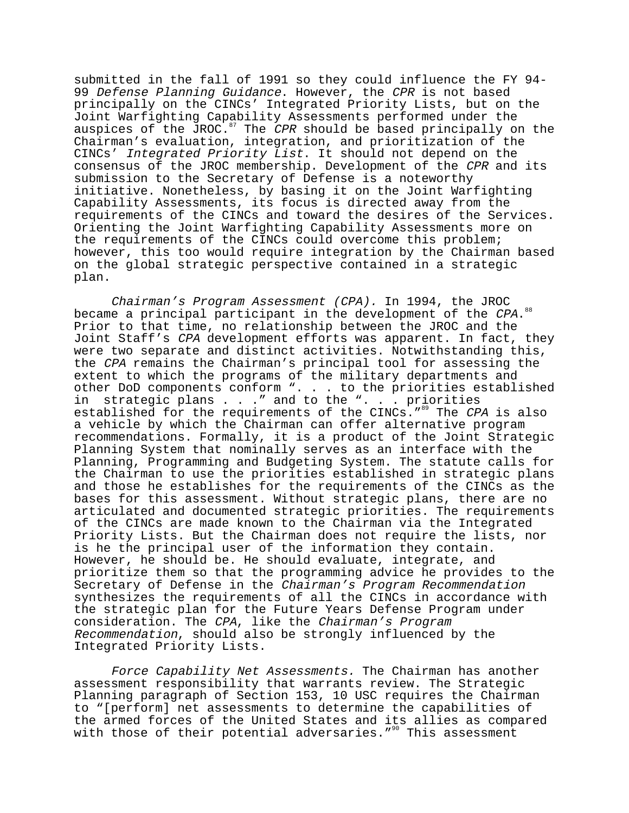submitted in the fall of 1991 so they could influence the FY 94 99 Defense Planning Guidance. However, the CPR is not based principally on the CINCs' Integrated Priority Lists, but on the Joint Warfighting Capability Assessments performed under the auspices of the JROC.<sup>87</sup> The *CPR* should be based principally on the<br>Chairman's evaluation, integration, and prioritization of the CINCs' Integrated Priority List. It should not depend on the consensus of the JROC membership. Development of the CPR and its submission to the Secretary of Defense is a noteworthy initiative. Nonetheless, by basing it on the Joint Warfighting Capability Assessments, its focus is directed away from the requirements of the CINCs and toward the desires of the Services. Orienting the Joint Warfighting Capability Assessments more on the requirements of the CINCs could overcome this problem; however, this too would require integration by the Chairman based on the global strategic perspective contained in a strategic plan.

Chairman's Program Assessment (CPA). In 1994, the JROC became a principal participant in the development of the CPA.<sup>88</sup> Prior to that time, no relationship between the JROC and the Joint Staff's CPA development efforts was apparent. In fact, they were two separate and distinct activities. Notwithstanding this, the CPA remains the Chairman's principal tool for assessing the extent to which the programs of the military departments and other DoD components conform ". . . to the priorities established in strategic plans . . ." and to the ". . . priorities established for the requirements of the CINCs."<sup>89</sup> The CPA is also a vehicle by which the Chairman can offer alternative program recommendations. Formally, it is a product of the Joint Strategic Planning System that nominally serves as an interface with the Planning, Programming and Budgeting System. The statute calls for the Chairman to use the priorities established in strategic plans and those he establishes for the requirements of the CINCs as the bases for this assessment. Without strategic plans, there are no articulated and documented strategic priorities. The requirements of the CINCs are made known to the Chairman via the Integrated Priority Lists. But the Chairman does not require the lists, nor is he the principal user of the information they contain. However, he should be. He should evaluate, integrate, and prioritize them so that the programming advice he provides to the Secretary of Defense in the Chairman's Program Recommendation synthesizes the requirements of all the CINCs in accordance with the strategic plan for the Future Years Defense Program under consideration. The CPA, like the Chairman's Program Recommendation, should also be strongly influenced by the Integrated Priority Lists.

Force Capability Net Assessments. The Chairman has another assessment responsibility that warrants review. The Strategic Planning paragraph of Section 153, 10 USC requires the Chairman to "[perform] net assessments to determine the capabilities of the armed forces of the United States and its allies as compared with those of their potential adversaries."<sup>90</sup> This assessment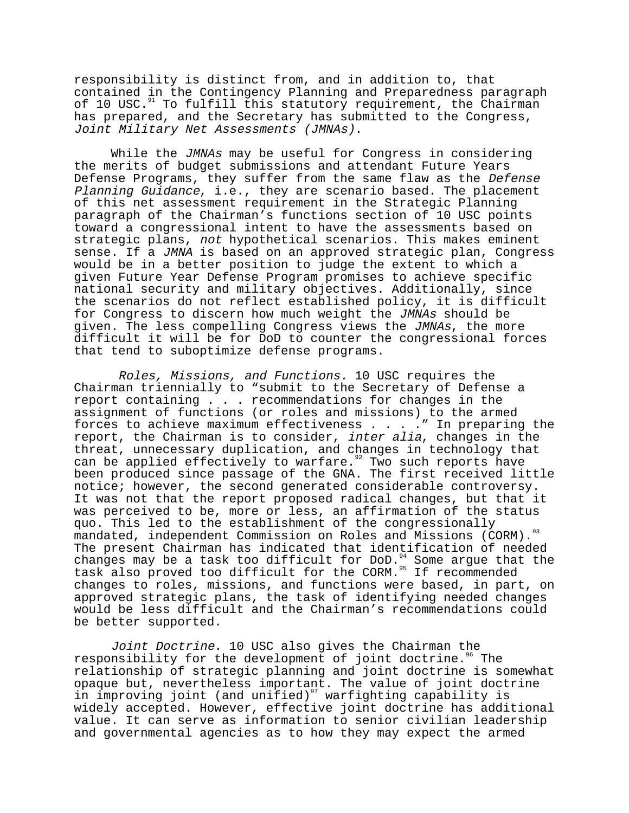responsibility is distinct from, and in addition to, that contained in the Contingency Planning and Preparedness paragraph of 10 USC.<sup>91</sup> To fulfill this statutory requirement, the Chairman has prepared, and the Secretary has submitted to the Congress, Joint Military Net Assessments (JMNAs).

While the JMNAs may be useful for Congress in considering the merits of budget submissions and attendant Future Years Defense Programs, they suffer from the same flaw as the Defense Planning Guidance, i.e., they are scenario based. The placement of this net assessment requirement in the Strategic Planning paragraph of the Chairman's functions section of 10 USC points toward a congressional intent to have the assessments based on strategic plans, not hypothetical scenarios. This makes eminent sense. If a JMNA is based on an approved strategic plan, Congress would be in a better position to judge the extent to which a given Future Year Defense Program promises to achieve specific national security and military objectives. Additionally, since the scenarios do not reflect established policy, it is difficult for Congress to discern how much weight the JMNAs should be given. The less compelling Congress views the JMNAs, the more difficult it will be for DoD to counter the congressional forces that tend to suboptimize defense programs.

Roles, Missions, and Functions. 10 USC requires the Chairman triennially to "submit to the Secretary of Defense a report containing . . . recommendations for changes in the assignment of functions (or roles and missions) to the armed forces to achieve maximum effectiveness . . . ." In preparing the report, the Chairman is to consider, inter alia, changes in the threat, unnecessary duplication, and changes in technology that can be applied effectively to warfare.<sup>92</sup> Two such reports have been produced since passage of the GNA. The first received little notice; however, the second generated considerable controversy. It was not that the report proposed radical changes, but that it was perceived to be, more or less, an affirmation of the status quo. This led to the establishment of the congressionally mandated, independent Commission on Roles and Missions (CORM).<sup>93</sup> The present Chairman has indicated that identification of needed changes may be a task too difficult for DoD.<sup>94</sup> Some argue that the<br>task also proved too difficult for the CORM.<sup>95</sup> If recommended changes to roles, missions, and functions were based, in part, on approved strategic plans, the task of identifying needed changes would be less difficult and the Chairman's recommendations could be better supported.

Joint Doctrine. 10 USC also gives the Chairman the responsibility for the development of joint doctrine.  $96$  The relationship of strategic planning and joint doctrine is somewhat opaque but, nevertheless important. The value of joint doctrine in improving joint (and unified)<sup>97</sup> warfighting capability is widely accepted. However, effective joint doctrine has additional value. It can serve as information to senior civilian leadership and governmental agencies as to how they may expect the armed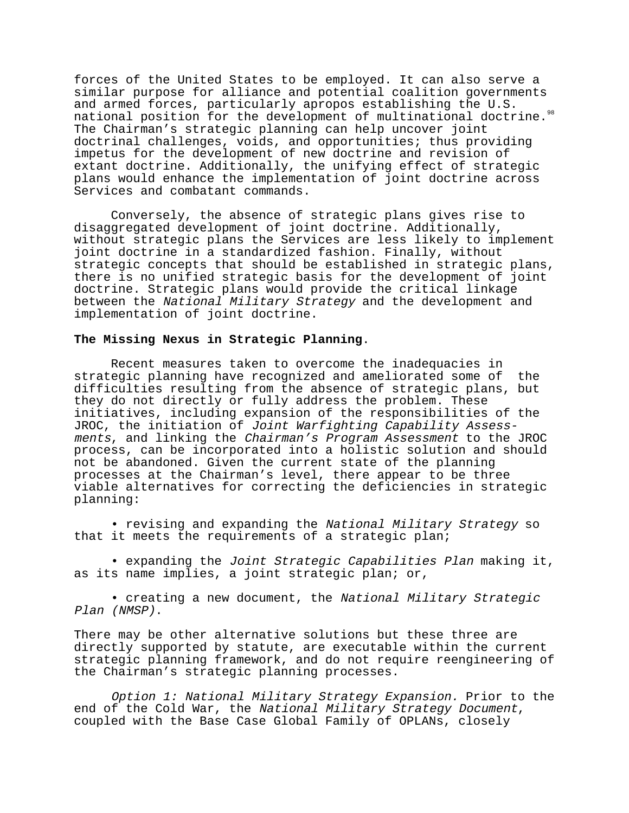forces of the United States to be employed. It can also serve a similar purpose for alliance and potential coalition governments and armed forces, particularly apropos establishing the U.S. national position for the development of multinational doctrine.<sup>98</sup> The Chairman's strategic planning can help uncover joint doctrinal challenges, voids, and opportunities; thus providing impetus for the development of new doctrine and revision of extant doctrine. Additionally, the unifying effect of strategic plans would enhance the implementation of joint doctrine across Services and combatant commands.

Conversely, the absence of strategic plans gives rise to disaggregated development of joint doctrine. Additionally, without strategic plans the Services are less likely to implement joint doctrine in a standardized fashion. Finally, without strategic concepts that should be established in strategic plans, there is no unified strategic basis for the development of joint doctrine. Strategic plans would provide the critical linkage between the National Military Strategy and the development and implementation of joint doctrine.

### **The Missing Nexus in Strategic Planning**.

Recent measures taken to overcome the inadequacies in strategic planning have recognized and ameliorated some of the difficulties resulting from the absence of strategic plans, but they do not directly or fully address the problem. These initiatives, including expansion of the responsibilities of the JROC, the initiation of Joint Warfighting Capability Assess ments, and linking the Chairman's Program Assessment to the JROC process, can be incorporated into a holistic solution and should not be abandoned. Given the current state of the planning processes at the Chairman's level, there appear to be three viable alternatives for correcting the deficiencies in strategic planning:

• revising and expanding the National Military Strategy so that it meets the requirements of a strategic plan;

• expanding the Joint Strategic Capabilities Plan making it, as its name implies, a joint strategic plan; or,

• creating a new document, the National Military Strategic Plan (NMSP).

There may be other alternative solutions but these three are directly supported by statute, are executable within the current strategic planning framework, and do not require reengineering of the Chairman's strategic planning processes.

Option 1: National Military Strategy Expansion. Prior to the end of the Cold War, the National Military Strategy Document, coupled with the Base Case Global Family of OPLANs, closely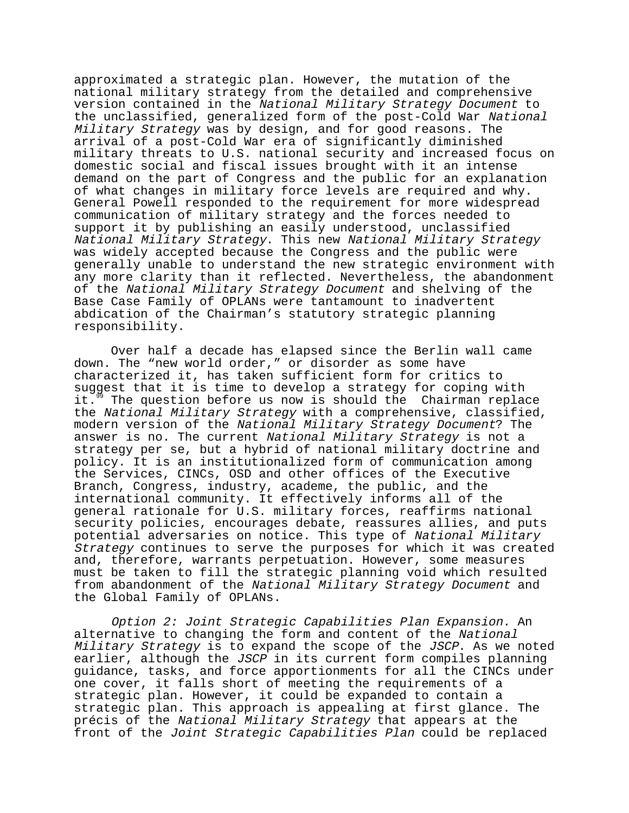approximated a strategic plan. However, the mutation of the national military strategy from the detailed and comprehensive version contained in the National Military Strategy Document to the unclassified, generalized form of the post-Cold War National Military Strategy was by design, and for good reasons. The arrival of a post-Cold War era of significantly diminished military threats to U.S. national security and increased focus on domestic social and fiscal issues brought with it an intense demand on the part of Congress and the public for an explanation of what changes in military force levels are required and why. General Powell responded to the requirement for more widespread communication of military strategy and the forces needed to support it by publishing an easily understood, unclassified National Military Strategy. This new National Military Strategy was widely accepted because the Congress and the public were generally unable to understand the new strategic environment with any more clarity than it reflected. Nevertheless, the abandonment of the National Military Strategy Document and shelving of the Base Case Family of OPLANs were tantamount to inadvertent abdication of the Chairman's statutory strategic planning responsibility.

Over half a decade has elapsed since the Berlin wall came down. The "new world order," or disorder as some have characterized it, has taken sufficient form for critics to suggest that it is time to develop a strategy for coping with it.<sup>59</sup> The question before us now is should the Chairman replace the National Military Strategy with a comprehensive, classified, modern version of the National Military Strategy Document? The answer is no. The current National Military Strategy is not a strategy per se, but a hybrid of national military doctrine and policy. It is an institutionalized form of communication among the Services, CINCs, OSD and other offices of the Executive Branch, Congress, industry, academe, the public, and the international community. It effectively informs all of the general rationale for U.S. military forces, reaffirms national security policies, encourages debate, reassures allies, and puts potential adversaries on notice. This type of National Military Strategy continues to serve the purposes for which it was created and, therefore, warrants perpetuation. However, some measures must be taken to fill the strategic planning void which resulted from abandonment of the National Military Strategy Document and the Global Family of OPLANs.

Option 2: Joint Strategic Capabilities Plan Expansion. An alternative to changing the form and content of the National Military Strategy is to expand the scope of the JSCP. As we noted earlier, although the JSCP in its current form compiles planning guidance, tasks, and force apportionments for all the CINCs under one cover, it falls short of meeting the requirements of a strategic plan. However, it could be expanded to contain a strategic plan. This approach is appealing at first glance. The précis of the National Military Strategy that appears at the front of the Joint Strategic Capabilities Plan could be replaced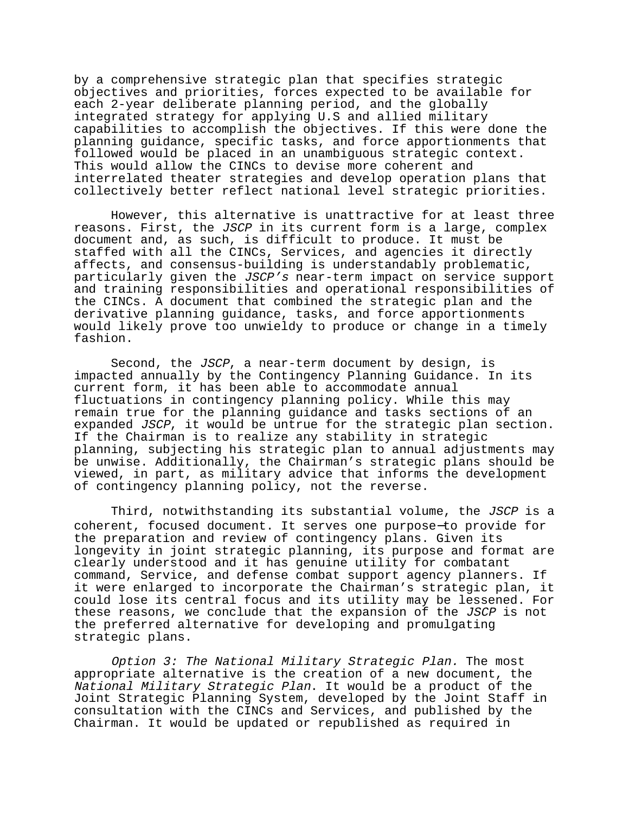by a comprehensive strategic plan that specifies strategic objectives and priorities, forces expected to be available for each 2-year deliberate planning period, and the globally integrated strategy for applying U.S and allied military capabilities to accomplish the objectives. If this were done the planning guidance, specific tasks, and force apportionments that followed would be placed in an unambiguous strategic context. This would allow the CINCs to devise more coherent and interrelated theater strategies and develop operation plans that collectively better reflect national level strategic priorities.

However, this alternative is unattractive for at least three reasons. First, the JSCP in its current form is a large, complex document and, as such, is difficult to produce. It must be staffed with all the CINCs, Services, and agencies it directly affects, and consensus-building is understandably problematic, particularly given the JSCP's near-term impact on service support and training responsibilities and operational responsibilities of the CINCs. A document that combined the strategic plan and the derivative planning guidance, tasks, and force apportionments would likely prove too unwieldy to produce or change in a timely fashion.

Second, the JSCP, a near-term document by design, is impacted annually by the Contingency Planning Guidance. In its current form, it has been able to accommodate annual fluctuations in contingency planning policy. While this may remain true for the planning guidance and tasks sections of an expanded JSCP, it would be untrue for the strategic plan section. If the Chairman is to realize any stability in strategic planning, subjecting his strategic plan to annual adjustments may be unwise. Additionally, the Chairman's strategic plans should be viewed, in part, as military advice that informs the development of contingency planning policy, not the reverse.

Third, notwithstanding its substantial volume, the JSCP is a coherent, focused document. It serves one purpose−to provide for the preparation and review of contingency plans. Given its longevity in joint strategic planning, its purpose and format are clearly understood and it has genuine utility for combatant command, Service, and defense combat support agency planners. If it were enlarged to incorporate the Chairman's strategic plan, it could lose its central focus and its utility may be lessened. For these reasons, we conclude that the expansion of the JSCP is not the preferred alternative for developing and promulgating strategic plans.

Option 3: The National Military Strategic Plan. The most appropriate alternative is the creation of a new document, the National Military Strategic Plan. It would be a product of the Joint Strategic Planning System, developed by the Joint Staff in consultation with the CINCs and Services, and published by the Chairman. It would be updated or republished as required in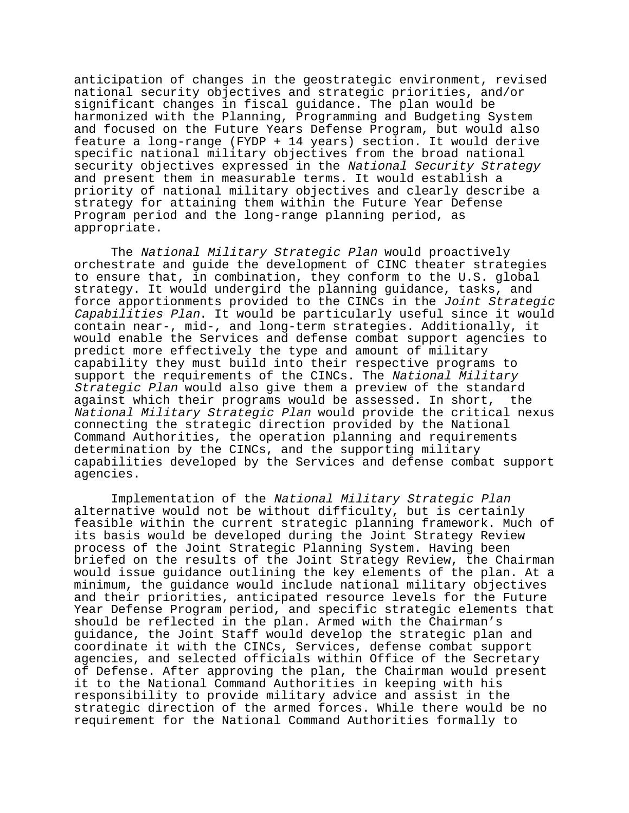anticipation of changes in the geostrategic environment, revised national security objectives and strategic priorities, and/or significant changes in fiscal guidance. The plan would be harmonized with the Planning, Programming and Budgeting System and focused on the Future Years Defense Program, but would also feature a long-range (FYDP + 14 years) section. It would derive specific national military objectives from the broad national security objectives expressed in the National Security Strategy and present them in measurable terms. It would establish a priority of national military objectives and clearly describe a strategy for attaining them within the Future Year Defense Program period and the long-range planning period, as appropriate.

The National Military Strategic Plan would proactively orchestrate and guide the development of CINC theater strategies to ensure that, in combination, they conform to the U.S. global strategy. It would undergird the planning guidance, tasks, and force apportionments provided to the CINCs in the Joint Strategic Capabilities Plan. It would be particularly useful since it would contain near-, mid-, and long-term strategies. Additionally, it would enable the Services and defense combat support agencies to predict more effectively the type and amount of military capability they must build into their respective programs to support the requirements of the CINCs. The National Military Strategic Plan would also give them a preview of the standard against which their programs would be assessed. In short, the National Military Strategic Plan would provide the critical nexus connecting the strategic direction provided by the National Command Authorities, the operation planning and requirements determination by the CINCs, and the supporting military capabilities developed by the Services and defense combat support agencies.

Implementation of the National Military Strategic Plan alternative would not be without difficulty, but is certainly feasible within the current strategic planning framework. Much of its basis would be developed during the Joint Strategy Review process of the Joint Strategic Planning System. Having been briefed on the results of the Joint Strategy Review, the Chairman would issue guidance outlining the key elements of the plan. At a minimum, the guidance would include national military objectives and their priorities, anticipated resource levels for the Future Year Defense Program period, and specific strategic elements that should be reflected in the plan. Armed with the Chairman's guidance, the Joint Staff would develop the strategic plan and coordinate it with the CINCs, Services, defense combat support agencies, and selected officials within Office of the Secretary of Defense. After approving the plan, the Chairman would present it to the National Command Authorities in keeping with his responsibility to provide military advice and assist in the strategic direction of the armed forces. While there would be no requirement for the National Command Authorities formally to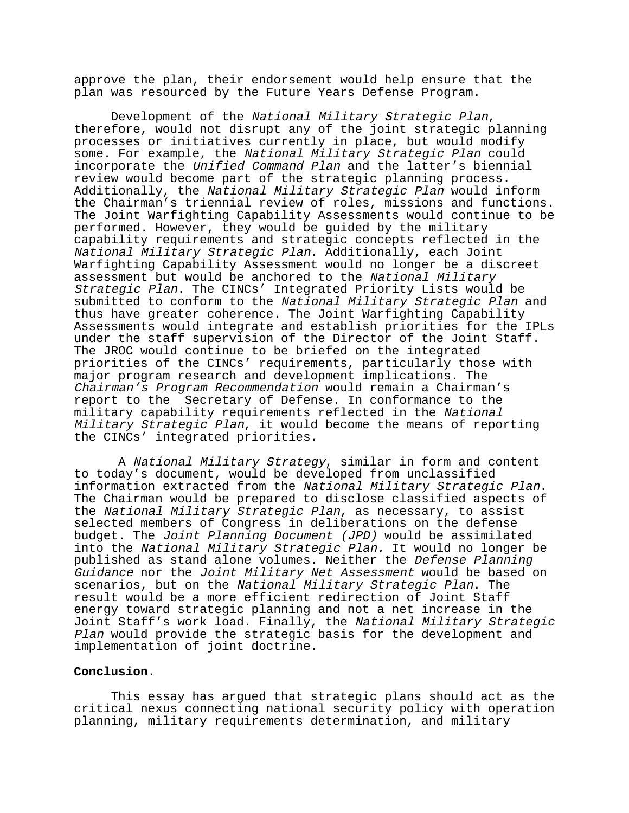approve the plan, their endorsement would help ensure that the plan was resourced by the Future Years Defense Program.

Development of the National Military Strategic Plan, therefore, would not disrupt any of the joint strategic planning processes or initiatives currently in place, but would modify some. For example, the National Military Strategic Plan could incorporate the Unified Command Plan and the latter's biennial review would become part of the strategic planning process. Additionally, the National Military Strategic Plan would inform the Chairman's triennial review of roles, missions and functions. The Joint Warfighting Capability Assessments would continue to be performed. However, they would be guided by the military capability requirements and strategic concepts reflected in the National Military Strategic Plan. Additionally, each Joint Warfighting Capability Assessment would no longer be a discreet assessment but would be anchored to the National Military Strategic Plan. The CINCs' Integrated Priority Lists would be submitted to conform to the National Military Strategic Plan and thus have greater coherence. The Joint Warfighting Capability Assessments would integrate and establish priorities for the IPLs under the staff supervision of the Director of the Joint Staff. The JROC would continue to be briefed on the integrated priorities of the CINCs' requirements, particularly those with major program research and development implications. The Chairman's Program Recommendation would remain a Chairman's report to the Secretary of Defense. In conformance to the military capability requirements reflected in the National Military Strategic Plan, it would become the means of reporting the CINCs' integrated priorities.

 A National Military Strategy, similar in form and content to today's document, would be developed from unclassified information extracted from the National Military Strategic Plan. The Chairman would be prepared to disclose classified aspects of the National Military Strategic Plan, as necessary, to assist selected members of Congress in deliberations on the defense budget. The Joint Planning Document (JPD) would be assimilated into the National Military Strategic Plan. It would no longer be published as stand alone volumes. Neither the Defense Planning Guidance nor the Joint Military Net Assessment would be based on scenarios, but on the National Military Strategic Plan. The result would be a more efficient redirection of Joint Staff energy toward strategic planning and not a net increase in the Joint Staff's work load. Finally, the National Military Strategic Plan would provide the strategic basis for the development and implementation of joint doctrine.

### **Conclusion**.

This essay has argued that strategic plans should act as the critical nexus connecting national security policy with operation planning, military requirements determination, and military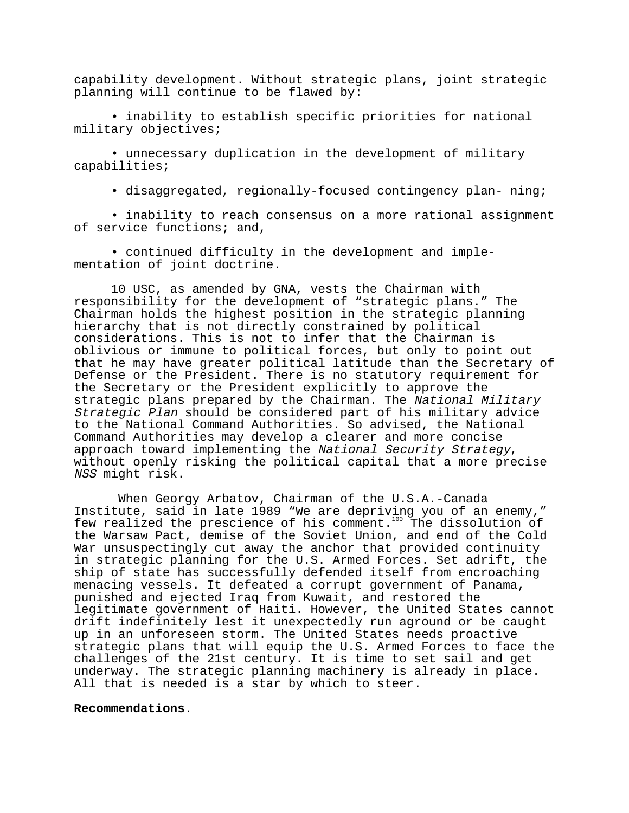capability development. Without strategic plans, joint strategic planning will continue to be flawed by:

• inability to establish specific priorities for national military objectives;

• unnecessary duplication in the development of military capabilities;

• disaggregated, regionally-focused contingency plan- ning;

• inability to reach consensus on a more rational assignment of service functions; and,

• continued difficulty in the development and implementation of joint doctrine.

10 USC, as amended by GNA, vests the Chairman with responsibility for the development of "strategic plans." The Chairman holds the highest position in the strategic planning hierarchy that is not directly constrained by political considerations. This is not to infer that the Chairman is oblivious or immune to political forces, but only to point out that he may have greater political latitude than the Secretary of Defense or the President. There is no statutory requirement for the Secretary or the President explicitly to approve the strategic plans prepared by the Chairman. The National Military Strategic Plan should be considered part of his military advice to the National Command Authorities. So advised, the National Command Authorities may develop a clearer and more concise approach toward implementing the National Security Strategy, without openly risking the political capital that a more precise NSS might risk.

 When Georgy Arbatov, Chairman of the U.S.A.-Canada Institute, said in late 1989 "We are depriving you of an enemy," few realized the prescience of his comment.100 The dissolution of the Warsaw Pact, demise of the Soviet Union, and end of the Cold War unsuspectingly cut away the anchor that provided continuity in strategic planning for the U.S. Armed Forces. Set adrift, the ship of state has successfully defended itself from encroaching menacing vessels. It defeated a corrupt government of Panama, punished and ejected Iraq from Kuwait, and restored the legitimate government of Haiti. However, the United States cannot drift indefinitely lest it unexpectedly run aground or be caught up in an unforeseen storm. The United States needs proactive strategic plans that will equip the U.S. Armed Forces to face the challenges of the 21st century. It is time to set sail and get underway. The strategic planning machinery is already in place. All that is needed is a star by which to steer.

#### **Recommendations**.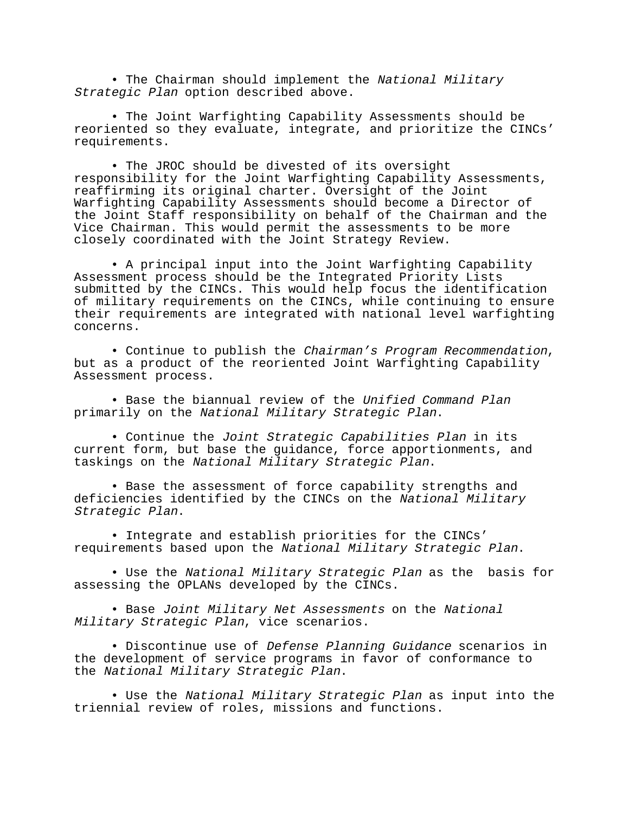• The Chairman should implement the National Military Strategic Plan option described above.

• The Joint Warfighting Capability Assessments should be reoriented so they evaluate, integrate, and prioritize the CINCs' requirements.

• The JROC should be divested of its oversight responsibility for the Joint Warfighting Capability Assessments, reaffirming its original charter. Oversight of the Joint Warfighting Capability Assessments should become a Director of the Joint Staff responsibility on behalf of the Chairman and the Vice Chairman. This would permit the assessments to be more closely coordinated with the Joint Strategy Review.

• A principal input into the Joint Warfighting Capability Assessment process should be the Integrated Priority Lists submitted by the CINCs. This would help focus the identification of military requirements on the CINCs, while continuing to ensure their requirements are integrated with national level warfighting concerns.

• Continue to publish the Chairman's Program Recommendation, but as a product of the reoriented Joint Warfighting Capability Assessment process.

• Base the biannual review of the Unified Command Plan primarily on the National Military Strategic Plan.

• Continue the Joint Strategic Capabilities Plan in its current form, but base the guidance, force apportionments, and taskings on the National Military Strategic Plan.

• Base the assessment of force capability strengths and deficiencies identified by the CINCs on the National Military Strategic Plan.

• Integrate and establish priorities for the CINCs' requirements based upon the National Military Strategic Plan.

• Use the National Military Strategic Plan as the basis for assessing the OPLANs developed by the CINCs.

• Base Joint Military Net Assessments on the National Military Strategic Plan, vice scenarios.

• Discontinue use of Defense Planning Guidance scenarios in the development of service programs in favor of conformance to the National Military Strategic Plan.

• Use the National Military Strategic Plan as input into the triennial review of roles, missions and functions.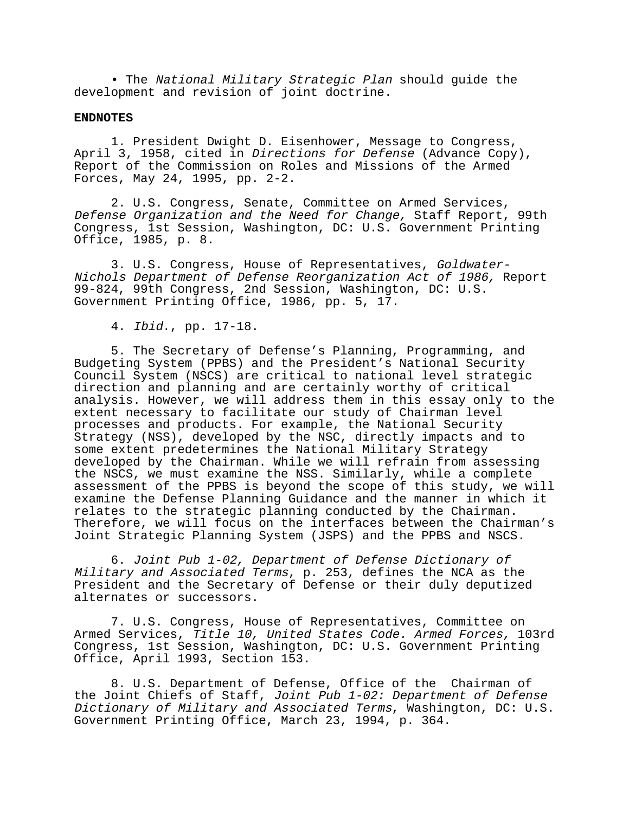• The National Military Strategic Plan should guide the development and revision of joint doctrine.

# **ENDNOTES**

1. President Dwight D. Eisenhower, Message to Congress, April 3, 1958, cited in Directions for Defense (Advance Copy), Report of the Commission on Roles and Missions of the Armed Forces, May 24, 1995, pp. 2-2.

2. U.S. Congress, Senate, Committee on Armed Services, Defense Organization and the Need for Change, Staff Report, 99th Congress, 1st Session, Washington, DC: U.S. Government Printing Office, 1985, p. 8.

3. U.S. Congress, House of Representatives, Goldwater- Nichols Department of Defense Reorganization Act of 1986, Report 99-824, 99th Congress, 2nd Session, Washington, DC: U.S. Government Printing Office, 1986, pp. 5, 17.

4. Ibid., pp. 17-18.

5. The Secretary of Defense's Planning, Programming, and Budgeting System (PPBS) and the President's National Security Council System (NSCS) are critical to national level strategic direction and planning and are certainly worthy of critical analysis. However, we will address them in this essay only to the extent necessary to facilitate our study of Chairman level processes and products. For example, the National Security Strategy (NSS), developed by the NSC, directly impacts and to some extent predetermines the National Military Strategy developed by the Chairman. While we will refrain from assessing the NSCS, we must examine the NSS. Similarly, while a complete assessment of the PPBS is beyond the scope of this study, we will examine the Defense Planning Guidance and the manner in which it relates to the strategic planning conducted by the Chairman. Therefore, we will focus on the interfaces between the Chairman's Joint Strategic Planning System (JSPS) and the PPBS and NSCS.

6. Joint Pub 1-02, Department of Defense Dictionary of Military and Associated Terms, p. 253, defines the NCA as the President and the Secretary of Defense or their duly deputized alternates or successors.

7. U.S. Congress, House of Representatives, Committee on Armed Services, Title 10, United States Code. Armed Forces, 103rd Congress, 1st Session, Washington, DC: U.S. Government Printing Office, April 1993, Section 153.

8. U.S. Department of Defense, Office of the Chairman of the Joint Chiefs of Staff, Joint Pub 1-02: Department of Defense Dictionary of Military and Associated Terms, Washington, DC: U.S. Government Printing Office, March 23, 1994, p. 364.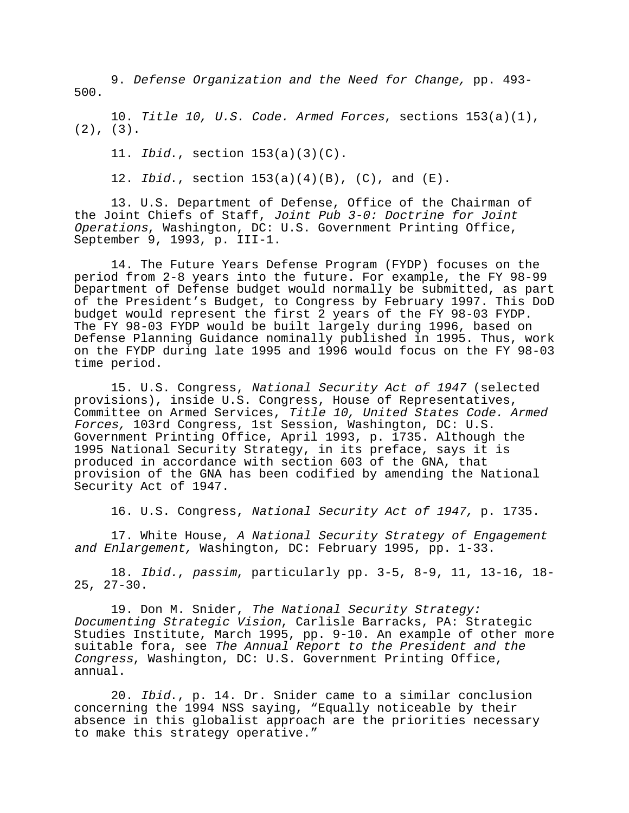9. Defense Organization and the Need for Change, pp. 493 500.

10. Title 10, U.S. Code. Armed Forces, sections 153(a)(1), (2), (3).

11. Ibid., section 153(a)(3)(C).

12. Ibid., section 153(a)(4)(B), (C), and (E).

13. U.S. Department of Defense, Office of the Chairman of the Joint Chiefs of Staff, Joint Pub 3-0: Doctrine for Joint Operations, Washington, DC: U.S. Government Printing Office, September 9, 1993, p. III-1.

14. The Future Years Defense Program (FYDP) focuses on the period from 2-8 years into the future. For example, the FY 98-99 Department of Defense budget would normally be submitted, as part of the President's Budget, to Congress by February 1997. This DoD budget would represent the first 2 years of the FY 98-03 FYDP. The FY 98-03 FYDP would be built largely during 1996, based on Defense Planning Guidance nominally published in 1995. Thus, work on the FYDP during late 1995 and 1996 would focus on the FY 98-03 time period.

15. U.S. Congress, National Security Act of 1947 (selected provisions), inside U.S. Congress, House of Representatives, Committee on Armed Services, Title 10, United States Code. Armed Forces, 103rd Congress, 1st Session, Washington, DC: U.S. Government Printing Office, April 1993, p. 1735. Although the 1995 National Security Strategy, in its preface, says it is produced in accordance with section 603 of the GNA, that provision of the GNA has been codified by amending the National Security Act of 1947.

16. U.S. Congress, National Security Act of 1947, p. 1735.

17. White House, A National Security Strategy of Engagement and Enlargement, Washington, DC: February 1995, pp. 1-33.

18. Ibid., passim, particularly pp. 3-5, 8-9, 11, 13-16, 18 25, 27-30.

19. Don M. Snider, The National Security Strategy: Documenting Strategic Vision, Carlisle Barracks, PA: Strategic Studies Institute, March 1995, pp. 9-10. An example of other more suitable fora, see The Annual Report to the President and the Congress, Washington, DC: U.S. Government Printing Office, annual.

20. Ibid., p. 14. Dr. Snider came to a similar conclusion concerning the 1994 NSS saying, "Equally noticeable by their absence in this globalist approach are the priorities necessary to make this strategy operative."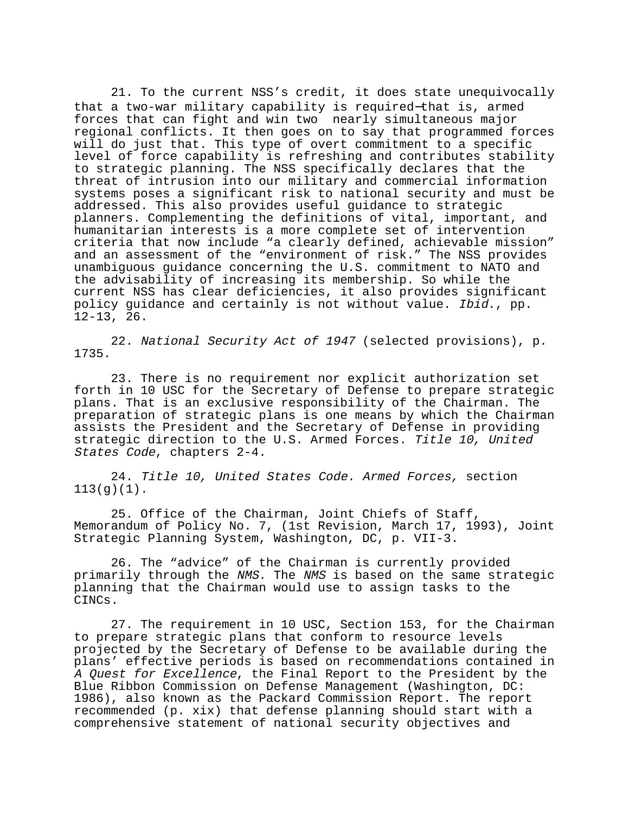21. To the current NSS's credit, it does state unequivocally that a two-war military capability is required−that is, armed forces that can fight and win two nearly simultaneous major regional conflicts. It then goes on to say that programmed forces will do just that. This type of overt commitment to a specific level of force capability is refreshing and contributes stability to strategic planning. The NSS specifically declares that the threat of intrusion into our military and commercial information systems poses a significant risk to national security and must be addressed. This also provides useful guidance to strategic planners. Complementing the definitions of vital, important, and humanitarian interests is a more complete set of intervention criteria that now include "a clearly defined, achievable mission" and an assessment of the "environment of risk." The NSS provides unambiguous guidance concerning the U.S. commitment to NATO and the advisability of increasing its membership. So while the current NSS has clear deficiencies, it also provides significant policy guidance and certainly is not without value. Ibid., pp. 12-13, 26.

22. National Security Act of 1947 (selected provisions), p. 1735.

23. There is no requirement nor explicit authorization set forth in 10 USC for the Secretary of Defense to prepare strategic plans. That is an exclusive responsibility of the Chairman. The preparation of strategic plans is one means by which the Chairman assists the President and the Secretary of Defense in providing strategic direction to the U.S. Armed Forces. Title 10, United States Code, chapters 2-4.

24. Title 10, United States Code. Armed Forces, section 113(g)(1).

25. Office of the Chairman, Joint Chiefs of Staff, Memorandum of Policy No. 7, (1st Revision, March 17, 1993), Joint Strategic Planning System, Washington, DC, p. VII-3.

26. The "advice" of the Chairman is currently provided primarily through the NMS. The NMS is based on the same strategic planning that the Chairman would use to assign tasks to the CINCs.

27. The requirement in 10 USC, Section 153, for the Chairman to prepare strategic plans that conform to resource levels projected by the Secretary of Defense to be available during the plans' effective periods is based on recommendations contained in A Quest for Excellence, the Final Report to the President by the Blue Ribbon Commission on Defense Management (Washington, DC: 1986), also known as the Packard Commission Report. The report recommended (p. xix) that defense planning should start with a comprehensive statement of national security objectives and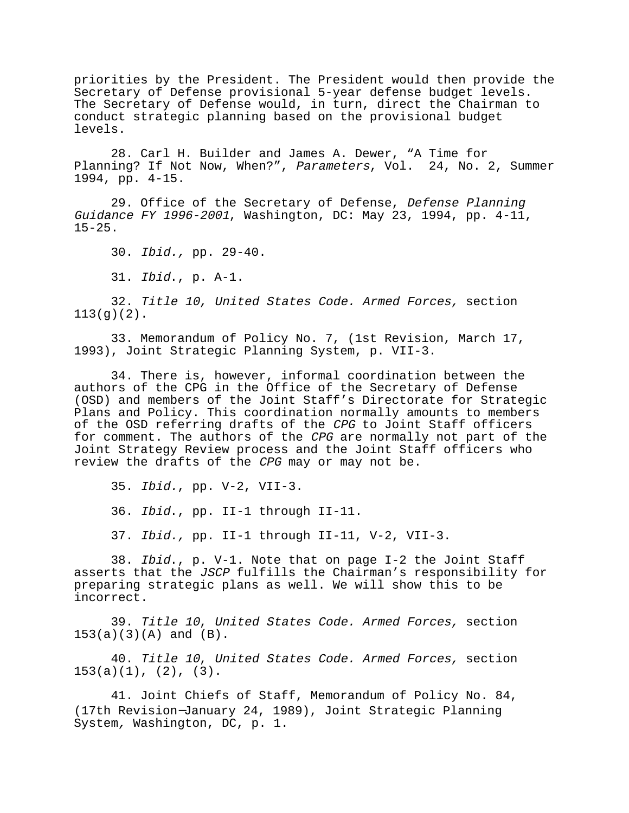priorities by the President. The President would then provide the Secretary of Defense provisional 5-year defense budget levels. The Secretary of Defense would, in turn, direct the Chairman to conduct strategic planning based on the provisional budget levels.

28. Carl H. Builder and James A. Dewer, "A Time for Planning? If Not Now, When?", Parameters, Vol. 24, No. 2, Summer 1994, pp. 4-15.

29. Office of the Secretary of Defense, Defense Planning Guidance FY 1996-2001, Washington, DC: May 23, 1994, pp. 4-11,  $15 - 25$ .

30. Ibid., pp. 29-40.

31. Ibid., p. A-1.

32. Title 10, United States Code. Armed Forces, section 113(g)(2).

33. Memorandum of Policy No. 7, (1st Revision, March 17, 1993), Joint Strategic Planning System, p. VII-3.

34. There is, however, informal coordination between the authors of the CPG in the Office of the Secretary of Defense (OSD) and members of the Joint Staff's Directorate for Strategic Plans and Policy. This coordination normally amounts to members of the OSD referring drafts of the CPG to Joint Staff officers for comment. The authors of the CPG are normally not part of the Joint Strategy Review process and the Joint Staff officers who review the drafts of the CPG may or may not be.

35. Ibid., pp. V-2, VII-3.

36. Ibid., pp. II-1 through II-11.

37. Ibid., pp. II-1 through II-11, V-2, VII-3.

38. Ibid., p. V-1. Note that on page I-2 the Joint Staff asserts that the JSCP fulfills the Chairman's responsibility for preparing strategic plans as well. We will show this to be incorrect.

39. Title 10, United States Code. Armed Forces, section 153(a)(3)(A) and (B).

40. Title 10, United States Code. Armed Forces, section 153(a)(1), (2), (3).

41. Joint Chiefs of Staff, Memorandum of Policy No. 84, (17th Revision−January 24, 1989), Joint Strategic Planning System, Washington, DC, p. 1.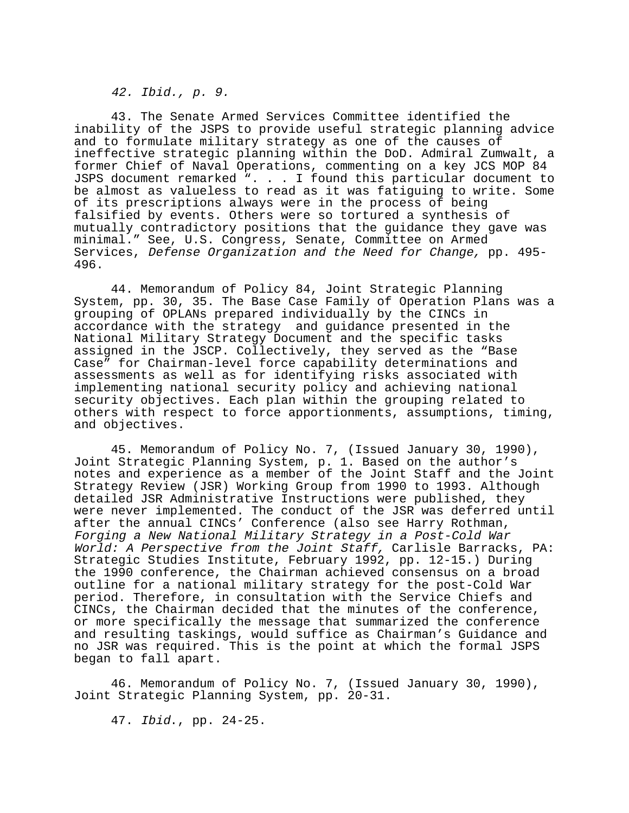42. Ibid., p. 9.

43. The Senate Armed Services Committee identified the inability of the JSPS to provide useful strategic planning advice and to formulate military strategy as one of the causes of ineffective strategic planning within the DoD. Admiral Zumwalt, a former Chief of Naval Operations, commenting on a key JCS MOP 84 JSPS document remarked ". . . I found this particular document to be almost as valueless to read as it was fatiguing to write. Some of its prescriptions always were in the process of being falsified by events. Others were so tortured a synthesis of mutually contradictory positions that the guidance they gave was minimal." See, U.S. Congress, Senate, Committee on Armed Services, Defense Organization and the Need for Change, pp. 495 496.

44. Memorandum of Policy 84, Joint Strategic Planning System, pp. 30, 35. The Base Case Family of Operation Plans was a grouping of OPLANs prepared individually by the CINCs in accordance with the strategy and guidance presented in the National Military Strategy Document and the specific tasks assigned in the JSCP. Collectively, they served as the "Base Case" for Chairman-level force capability determinations and assessments as well as for identifying risks associated with implementing national security policy and achieving national security objectives. Each plan within the grouping related to others with respect to force apportionments, assumptions, timing, and objectives.

45. Memorandum of Policy No. 7, (Issued January 30, 1990), Joint Strategic Planning System, p. 1. Based on the author's notes and experience as a member of the Joint Staff and the Joint Strategy Review (JSR) Working Group from 1990 to 1993. Although detailed JSR Administrative Instructions were published, they were never implemented. The conduct of the JSR was deferred until after the annual CINCs' Conference (also see Harry Rothman, Forging a New National Military Strategy in a Post-Cold War World: A Perspective from the Joint Staff, Carlisle Barracks, PA: Strategic Studies Institute, February 1992, pp. 12-15.) During the 1990 conference, the Chairman achieved consensus on a broad outline for a national military strategy for the post-Cold War period. Therefore, in consultation with the Service Chiefs and CINCs, the Chairman decided that the minutes of the conference, or more specifically the message that summarized the conference and resulting taskings, would suffice as Chairman's Guidance and no JSR was required. This is the point at which the formal JSPS began to fall apart.

46. Memorandum of Policy No. 7, (Issued January 30, 1990), Joint Strategic Planning System, pp. 20-31.

47. Ibid., pp. 24-25.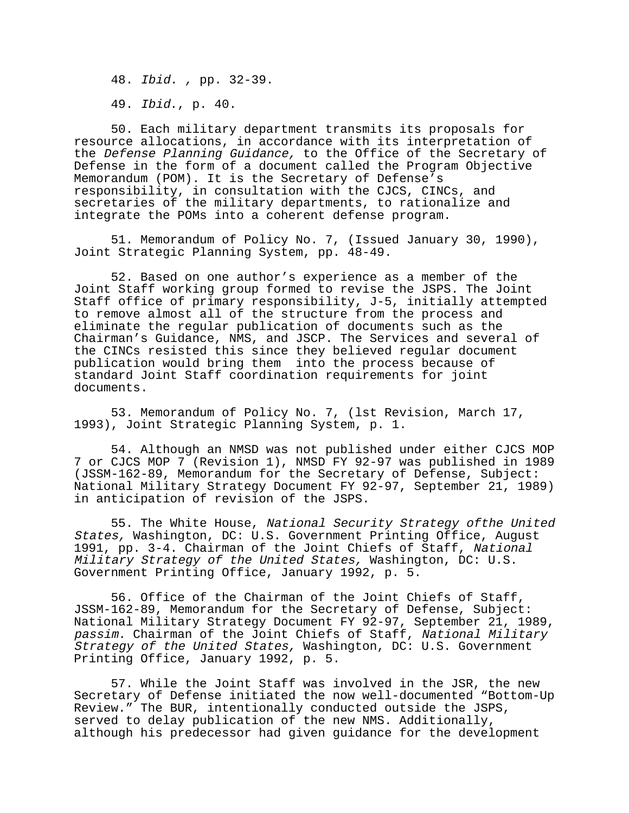48. Ibid. , pp. 32-39.

49. Ibid., p. 40.

50. Each military department transmits its proposals for resource allocations, in accordance with its interpretation of the Defense Planning Guidance, to the Office of the Secretary of Defense in the form of a document called the Program Objective Memorandum (POM). It is the Secretary of Defense's responsibility, in consultation with the CJCS, CINCs, and secretaries of the military departments, to rationalize and integrate the POMs into a coherent defense program.

51. Memorandum of Policy No. 7, (Issued January 30, 1990), Joint Strategic Planning System, pp. 48-49.

52. Based on one author's experience as a member of the Joint Staff working group formed to revise the JSPS. The Joint Staff office of primary responsibility, J-5, initially attempted to remove almost all of the structure from the process and eliminate the regular publication of documents such as the Chairman's Guidance, NMS, and JSCP. The Services and several of the CINCs resisted this since they believed regular document publication would bring them into the process because of standard Joint Staff coordination requirements for joint documents.

53. Memorandum of Policy No. 7, (lst Revision, March 17, 1993), Joint Strategic Planning System, p. 1.

54. Although an NMSD was not published under either CJCS MOP 7 or CJCS MOP 7 (Revision 1), NMSD FY 92-97 was published in 1989 (JSSM-162-89, Memorandum for the Secretary of Defense, Subject: National Military Strategy Document FY 92-97, September 21, 1989) in anticipation of revision of the JSPS.

55. The White House, National Security Strategy ofthe United States, Washington, DC: U.S. Government Printing Office, August 1991, pp. 3-4. Chairman of the Joint Chiefs of Staff, National Military Strategy of the United States, Washington, DC: U.S. Government Printing Office, January 1992, p. 5.

56. Office of the Chairman of the Joint Chiefs of Staff, JSSM-162-89, Memorandum for the Secretary of Defense, Subject: National Military Strategy Document FY 92-97, September 21, 1989, passim. Chairman of the Joint Chiefs of Staff, National Military Strategy of the United States, Washington, DC: U.S. Government Printing Office, January 1992, p. 5.

57. While the Joint Staff was involved in the JSR, the new Secretary of Defense initiated the now well-documented "Bottom-Up Review." The BUR, intentionally conducted outside the JSPS, served to delay publication of the new NMS. Additionally, although his predecessor had given guidance for the development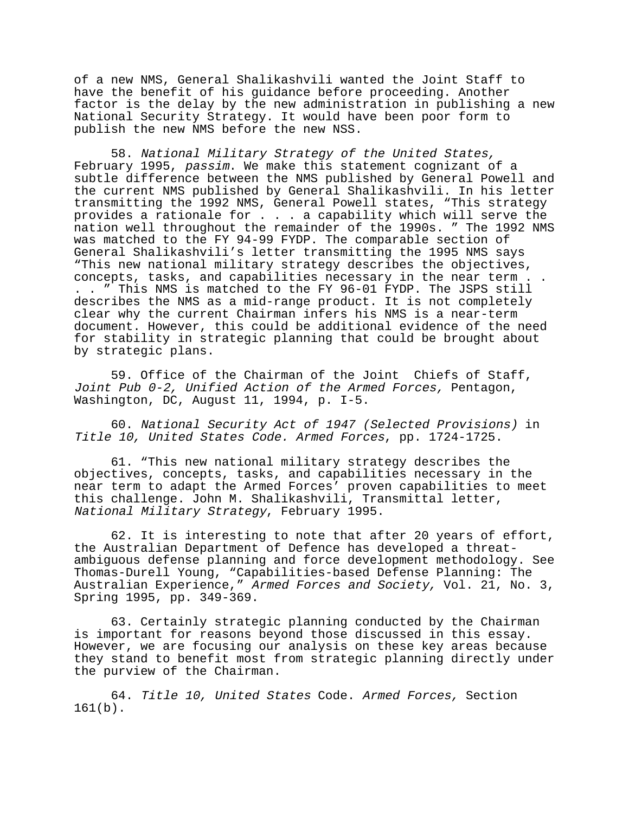of a new NMS, General Shalikashvili wanted the Joint Staff to have the benefit of his guidance before proceeding. Another factor is the delay by the new administration in publishing a new National Security Strategy. It would have been poor form to publish the new NMS before the new NSS.

58. National Military Strategy of the United States, February 1995, passim. We make this statement cognizant of a subtle difference between the NMS published by General Powell and the current NMS published by General Shalikashvili. In his letter transmitting the 1992 NMS, General Powell states, "This strategy provides a rationale for . . . a capability which will serve the nation well throughout the remainder of the 1990s. " The 1992 NMS was matched to the FY 94-99 FYDP. The comparable section of General Shalikashvili's letter transmitting the 1995 NMS says "This new national military strategy describes the objectives, concepts, tasks, and capabilities necessary in the near term . . . . " This NMS is matched to the FY 96-01 FYDP. The JSPS still describes the NMS as a mid-range product. It is not completely clear why the current Chairman infers his NMS is a near-term document. However, this could be additional evidence of the need for stability in strategic planning that could be brought about by strategic plans.

59. Office of the Chairman of the Joint Chiefs of Staff, Joint Pub 0-2, Unified Action of the Armed Forces, Pentagon, Washington, DC, August 11, 1994, p. I-5.

60. National Security Act of 1947 (Selected Provisions) in Title 10, United States Code. Armed Forces, pp. 1724-1725.

61. "This new national military strategy describes the objectives, concepts, tasks, and capabilities necessary in the near term to adapt the Armed Forces' proven capabilities to meet this challenge. John M. Shalikashvili, Transmittal letter, National Military Strategy, February 1995.

62. It is interesting to note that after 20 years of effort, the Australian Department of Defence has developed a threat ambiguous defense planning and force development methodology. See Thomas-Durell Young, "Capabilities-based Defense Planning: The<br>Australian Experience,*" Armed Forces and Society,* Vol. 21, No. 3, Spring 1995, pp. 349-369.

63. Certainly strategic planning conducted by the Chairman is important for reasons beyond those discussed in this essay. However, we are focusing our analysis on these key areas because they stand to benefit most from strategic planning directly under the purview of the Chairman.

64. Title 10, United States Code. Armed Forces, Section 161(b).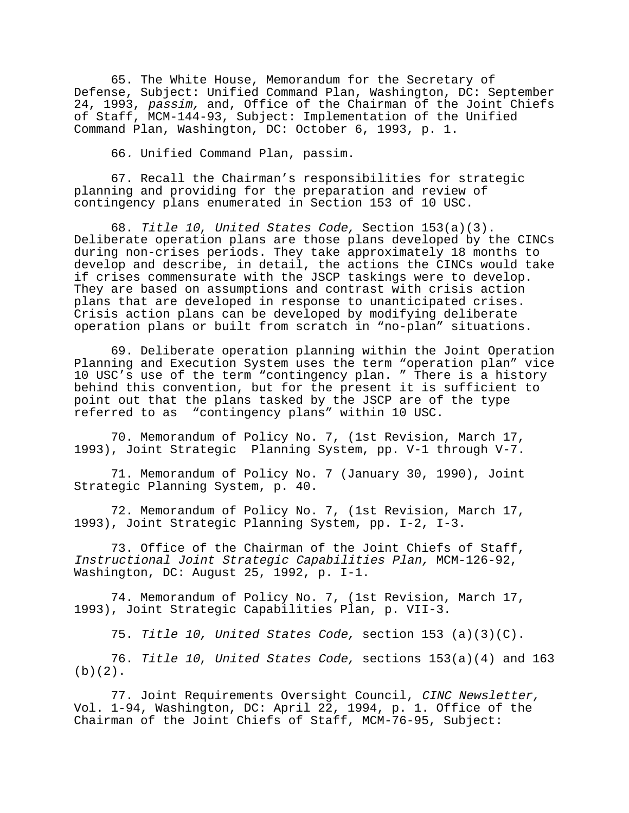65. The White House, Memorandum for the Secretary of Defense, Subject: Unified Command Plan, Washington, DC: September 24, 1993, passim, and, Office of the Chairman of the Joint Chiefs of Staff, MCM-144-93, Subject: Implementation of the Unified Command Plan, Washington, DC: October 6, 1993, p. 1.

66. Unified Command Plan, passim.

67. Recall the Chairman's responsibilities for strategic planning and providing for the preparation and review of contingency plans enumerated in Section 153 of 10 USC.

68. Title 10, United States Code, Section 153(a)(3). Deliberate operation plans are those plans developed by the CINCs during non-crises periods. They take approximately 18 months to develop and describe, in detail, the actions the CINCs would take if crises commensurate with the JSCP taskings were to develop. They are based on assumptions and contrast with crisis action plans that are developed in response to unanticipated crises. Crisis action plans can be developed by modifying deliberate operation plans or built from scratch in "no-plan" situations.

69. Deliberate operation planning within the Joint Operation Planning and Execution System uses the term "operation plan" vice 10 USC's use of the term "contingency plan. " There is a history behind this convention, but for the present it is sufficient to point out that the plans tasked by the JSCP are of the type referred to as "contingency plans" within 10 USC.

70. Memorandum of Policy No. 7, (1st Revision, March 17, 1993), Joint Strategic Planning System, pp. V-1 through V-7.

71. Memorandum of Policy No. 7 (January 30, 1990), Joint Strategic Planning System, p. 40.

72. Memorandum of Policy No. 7, (1st Revision, March 17, 1993), Joint Strategic Planning System, pp. I-2, I-3.

73. Office of the Chairman of the Joint Chiefs of Staff, Instructional Joint Strategic Capabilities Plan, MCM-126-92, Washington, DC: August 25, 1992, p. I-1.

74. Memorandum of Policy No. 7, (1st Revision, March 17, 1993), Joint Strategic Capabilities Plan, p. VII-3.

75. Title 10, United States Code, section  $153$  (a)(3)(C).

76. Title 10, United States Code, sections 153(a)(4) and 163 (b)(2).

77. Joint Requirements Oversight Council, CINC Newsletter, Vol. 1-94, Washington, DC: April 22, 1994, p. 1. Office of the Chairman of the Joint Chiefs of Staff, MCM-76-95, Subject: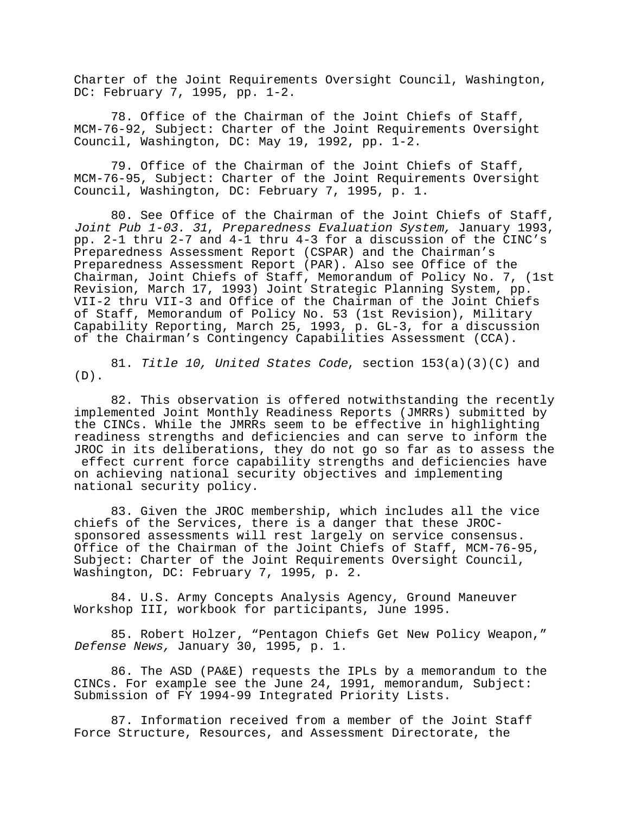Charter of the Joint Requirements Oversight Council, Washington, DC: February 7, 1995, pp. 1-2.

78. Office of the Chairman of the Joint Chiefs of Staff, MCM-76-92, Subject: Charter of the Joint Requirements Oversight Council, Washington, DC: May 19, 1992, pp. 1-2.

79. Office of the Chairman of the Joint Chiefs of Staff, MCM-76-95, Subject: Charter of the Joint Requirements Oversight Council, Washington, DC: February 7, 1995, p. 1.

80. See Office of the Chairman of the Joint Chiefs of Staff, Joint Pub 1-03. 31, Preparedness Evaluation System, January 1993, pp. 2-1 thru 2-7 and 4-1 thru 4-3 for a discussion of the CINC's Preparedness Assessment Report (CSPAR) and the Chairman's Preparedness Assessment Report (PAR). Also see Office of the Chairman, Joint Chiefs of Staff, Memorandum of Policy No. 7, (1st Revision, March 17, 1993) Joint Strategic Planning System, pp. VII-2 thru VII-3 and Office of the Chairman of the Joint Chiefs of Staff, Memorandum of Policy No. 53 (1st Revision), Military Capability Reporting, March 25, 1993, p. GL-3, for a discussion of the Chairman's Contingency Capabilities Assessment (CCA).

81. Title 10, United States Code, section 153(a)(3)(C) and (D).

82. This observation is offered notwithstanding the recently implemented Joint Monthly Readiness Reports (JMRRs) submitted by the CINCs. While the JMRRs seem to be effective in highlighting readiness strengths and deficiencies and can serve to inform the JROC in its deliberations, they do not go so far as to assess the effect current force capability strengths and deficiencies have on achieving national security objectives and implementing national security policy.

83. Given the JROC membership, which includes all the vice chiefs of the Services, there is a danger that these JROC sponsored assessments will rest largely on service consensus. Office of the Chairman of the Joint Chiefs of Staff, MCM-76-95, Subject: Charter of the Joint Requirements Oversight Council, Washington, DC: February 7, 1995, p. 2.

84. U.S. Army Concepts Analysis Agency, Ground Maneuver Workshop III, workbook for participants, June 1995.

85. Robert Holzer, "Pentagon Chiefs Get New Policy Weapon," Defense News, January 30, 1995, p. 1.

86. The ASD (PA&E) requests the IPLs by a memorandum to the CINCs. For example see the June 24, 1991, memorandum, Subject: Submission of FY 1994-99 Integrated Priority Lists.

87. Information received from a member of the Joint Staff Force Structure, Resources, and Assessment Directorate, the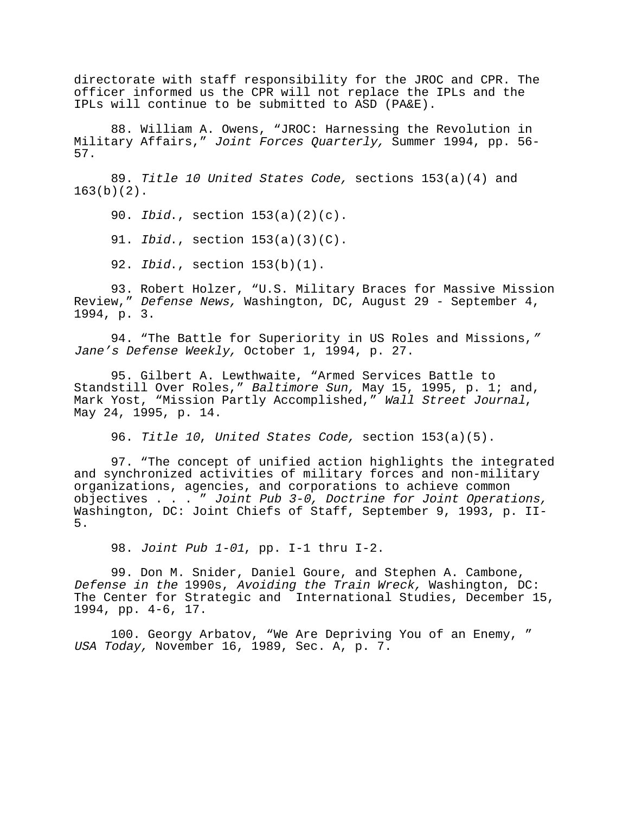directorate with staff responsibility for the JROC and CPR. The officer informed us the CPR will not replace the IPLs and the IPLs will continue to be submitted to ASD (PA&E).

88. William A. Owens, "JROC: Harnessing the Revolution in Military Affairs," Joint Forces Quarterly, Summer 1994, pp. 56-57.

89. Title 10 United States Code, sections 153(a)(4) and 163(b)(2).

90. Ibid., section 153(a)(2)(c).

91. Ibid., section 153(a)(3)(C).

92. Ibid., section 153(b)(1).

93. Robert Holzer, "U.S. Military Braces for Massive Mission Review," Defense News, Washington, DC, August 29 - September 4, 1994, p. 3.

94. "The Battle for Superiority in US Roles and Missions," Jane's Defense Weekly, October 1, 1994, p. 27.

95. Gilbert A. Lewthwaite, "Armed Services Battle to Standstill Over Roles," Baltimore Sun, May 15, 1995, p. 1; and, Mark Yost, "Mission Partly Accomplished," Wall Street Journal, May 24, 1995, p. 14.

96. Title 10, United States Code, section 153(a)(5).

97. "The concept of unified action highlights the integrated and synchronized activities of military forces and non-military organizations, agencies, and corporations to achieve common objectives . . . " Joint Pub 3-0, Doctrine for Joint Operations, Washington, DC: Joint Chiefs of Staff, September 9, 1993, p. II 5.

98. Joint Pub 1-01, pp. I-1 thru I-2.

99. Don M. Snider, Daniel Goure, and Stephen A. Cambone, Defense in the 1990s, Avoiding the Train Wreck, Washington, DC: The Center for Strategic and International Studies, December 15, 1994, pp. 4-6, 17.

100. Georgy Arbatov, "We Are Depriving You of an Enemy, " USA Today, November 16, 1989, Sec. A, p. 7.